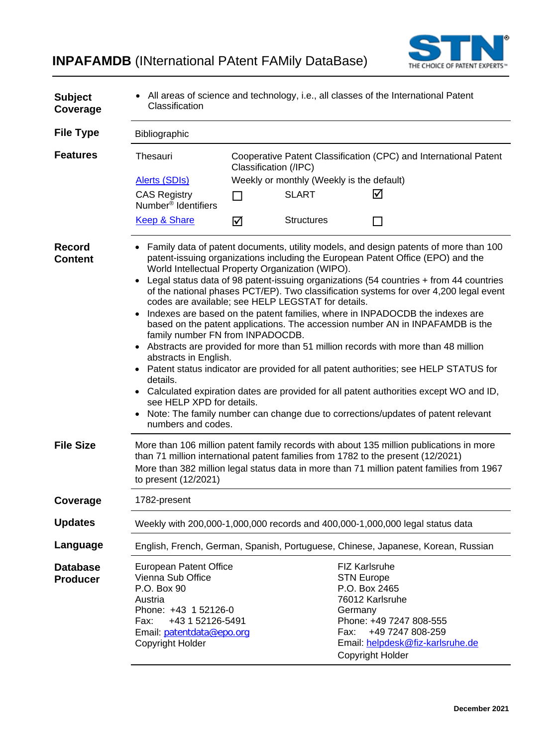**INPAFAMDB** (INternational PAtent FAMily DataBase)



| <b>Subject</b><br>Coverage         | • All areas of science and technology, i.e., all classes of the International Patent<br>Classification                                                                                                                                                                                           |   |                   |                                                                                                                                                                                                                                                                                                                                                                                                                                                                                                                                                                                                                                                                                                                                                                                                                                                                                         |  |  |  |
|------------------------------------|--------------------------------------------------------------------------------------------------------------------------------------------------------------------------------------------------------------------------------------------------------------------------------------------------|---|-------------------|-----------------------------------------------------------------------------------------------------------------------------------------------------------------------------------------------------------------------------------------------------------------------------------------------------------------------------------------------------------------------------------------------------------------------------------------------------------------------------------------------------------------------------------------------------------------------------------------------------------------------------------------------------------------------------------------------------------------------------------------------------------------------------------------------------------------------------------------------------------------------------------------|--|--|--|
| <b>File Type</b>                   | Bibliographic                                                                                                                                                                                                                                                                                    |   |                   |                                                                                                                                                                                                                                                                                                                                                                                                                                                                                                                                                                                                                                                                                                                                                                                                                                                                                         |  |  |  |
| <b>Features</b>                    | Cooperative Patent Classification (CPC) and International Patent<br>Thesauri<br>Classification (/IPC)                                                                                                                                                                                            |   |                   |                                                                                                                                                                                                                                                                                                                                                                                                                                                                                                                                                                                                                                                                                                                                                                                                                                                                                         |  |  |  |
|                                    | Weekly or monthly (Weekly is the default)<br><b>Alerts (SDIs)</b>                                                                                                                                                                                                                                |   |                   |                                                                                                                                                                                                                                                                                                                                                                                                                                                                                                                                                                                                                                                                                                                                                                                                                                                                                         |  |  |  |
|                                    | <b>CAS Registry</b><br>Number <sup>®</sup> Identifiers                                                                                                                                                                                                                                           | П | <b>SLART</b>      | ☑                                                                                                                                                                                                                                                                                                                                                                                                                                                                                                                                                                                                                                                                                                                                                                                                                                                                                       |  |  |  |
|                                    | <b>Keep &amp; Share</b>                                                                                                                                                                                                                                                                          | ☑ | <b>Structures</b> | П                                                                                                                                                                                                                                                                                                                                                                                                                                                                                                                                                                                                                                                                                                                                                                                                                                                                                       |  |  |  |
| <b>Record</b><br><b>Content</b>    | World Intellectual Property Organization (WIPO).<br>codes are available; see HELP LEGSTAT for details.<br>family number FN from INPADOCDB.<br>abstracts in English.<br>details.<br>see HELP XPD for details.<br>numbers and codes.                                                               |   |                   | • Family data of patent documents, utility models, and design patents of more than 100<br>patent-issuing organizations including the European Patent Office (EPO) and the<br>Legal status data of 98 patent-issuing organizations (54 countries + from 44 countries<br>of the national phases PCT/EP). Two classification systems for over 4,200 legal event<br>Indexes are based on the patent families, where in INPADOCDB the indexes are<br>based on the patent applications. The accession number AN in INPAFAMDB is the<br>Abstracts are provided for more than 51 million records with more than 48 million<br>Patent status indicator are provided for all patent authorities; see HELP STATUS for<br>Calculated expiration dates are provided for all patent authorities except WO and ID,<br>Note: The family number can change due to corrections/updates of patent relevant |  |  |  |
| <b>File Size</b>                   | More than 106 million patent family records with about 135 million publications in more<br>than 71 million international patent families from 1782 to the present (12/2021)<br>More than 382 million legal status data in more than 71 million patent families from 1967<br>to present (12/2021) |   |                   |                                                                                                                                                                                                                                                                                                                                                                                                                                                                                                                                                                                                                                                                                                                                                                                                                                                                                         |  |  |  |
| Coverage                           | 1782-present                                                                                                                                                                                                                                                                                     |   |                   |                                                                                                                                                                                                                                                                                                                                                                                                                                                                                                                                                                                                                                                                                                                                                                                                                                                                                         |  |  |  |
| <b>Updates</b>                     |                                                                                                                                                                                                                                                                                                  |   |                   | Weekly with 200,000-1,000,000 records and 400,000-1,000,000 legal status data                                                                                                                                                                                                                                                                                                                                                                                                                                                                                                                                                                                                                                                                                                                                                                                                           |  |  |  |
| Language                           |                                                                                                                                                                                                                                                                                                  |   |                   | English, French, German, Spanish, Portuguese, Chinese, Japanese, Korean, Russian                                                                                                                                                                                                                                                                                                                                                                                                                                                                                                                                                                                                                                                                                                                                                                                                        |  |  |  |
| <b>Database</b><br><b>Producer</b> | <b>European Patent Office</b><br>Vienna Sub Office<br>P.O. Box 90<br>Austria<br>Phone: +43 1 52126-0<br>+43 1 52126-5491<br>Fax:<br>Email: patentdata@epo.org<br>Copyright Holder                                                                                                                |   | Germany<br>Fax:   | <b>FIZ Karlsruhe</b><br><b>STN Europe</b><br>P.O. Box 2465<br>76012 Karlsruhe<br>Phone: +49 7247 808-555<br>+49 7247 808-259<br>Email: helpdesk@fiz-karlsruhe.de<br>Copyright Holder                                                                                                                                                                                                                                                                                                                                                                                                                                                                                                                                                                                                                                                                                                    |  |  |  |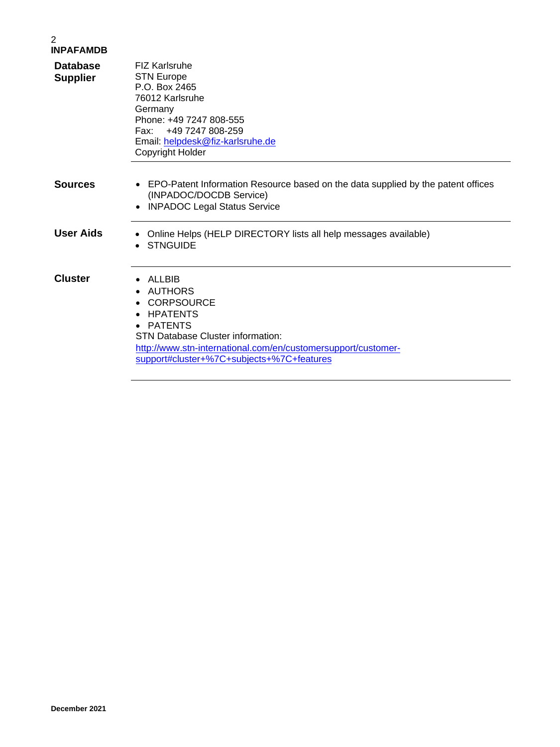### 2 **INPAFAMDB Database Supplier** FIZ Karlsruhe STN Europe P.O. Box 2465 76012 Karlsruhe **Germany** Phone: +49 7247 808-555<br>Fax: +49 7247 808-259 Fax: +49 7247 808-259 Email: [helpdesk@fiz-karlsruhe.de](mailto:helpdesk@fiz-karlsruhe.de) Copyright Holder **Sources** • EPO-Patent Information Resource based on the data supplied by the patent offices (INPADOC/DOCDB Service) • INPADOC Legal Status Service **User Aids** • Online Helps (HELP DIRECTORY lists all help messages available) • STNGUIDE **Cluster** • ALLBIB • AUTHORS • CORPSOURCE • HPATENTS • PATENTS STN Database Cluster information: [http://www.stn-international.com/en/customersupport/customer](http://www.stn-international.com/en/customersupport/customer-support#cluster+%7C+subjects+%7C+features)[support#cluster+%7C+subjects+%7C+features](http://www.stn-international.com/en/customersupport/customer-support#cluster+%7C+subjects+%7C+features)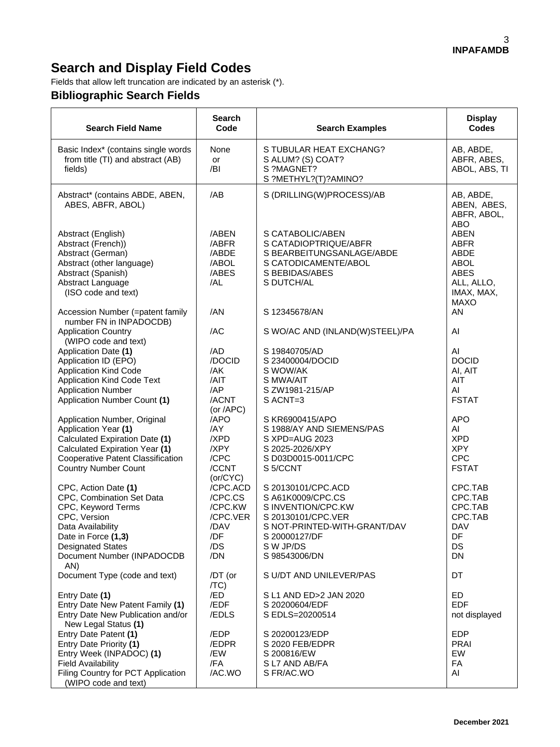# **Search and Display Field Codes**

Fields that allow left truncation are indicated by an asterisk (\*).

## **Bibliographic Search Fields**

| <b>Search Field Name</b>                                                                                                                                                                             | <b>Search</b><br>Code                                                   | <b>Search Examples</b>                                                                                                                                             | <b>Display</b><br><b>Codes</b>                                                                              |
|------------------------------------------------------------------------------------------------------------------------------------------------------------------------------------------------------|-------------------------------------------------------------------------|--------------------------------------------------------------------------------------------------------------------------------------------------------------------|-------------------------------------------------------------------------------------------------------------|
| Basic Index* (contains single words<br>from title (TI) and abstract (AB)<br>fields)                                                                                                                  | None<br>or<br>/BI                                                       | S TUBULAR HEAT EXCHANG?<br>S ALUM? (S) COAT?<br>S ?MAGNET?<br>S ?METHYL?(T)?AMINO?                                                                                 | AB, ABDE,<br>ABFR, ABES,<br>ABOL, ABS, TI                                                                   |
| Abstract* (contains ABDE, ABEN,<br>ABES, ABFR, ABOL)                                                                                                                                                 | /AB                                                                     | S (DRILLING(W)PROCESS)/AB                                                                                                                                          | AB, ABDE,<br>ABEN, ABES,<br>ABFR, ABOL,<br><b>ABO</b>                                                       |
| Abstract (English)<br>Abstract (French))<br>Abstract (German)<br>Abstract (other language)<br>Abstract (Spanish)<br>Abstract Language<br>(ISO code and text)                                         | /ABEN<br>/ABFR<br>/ABDE<br>/ABOL<br>/ABES<br>/AL                        | S CATABOLIC/ABEN<br>S CATADIOPTRIQUE/ABFR<br>S BEARBEITUNGSANLAGE/ABDE<br>S CATODICAMENTE/ABOL<br>S BEBIDAS/ABES<br>S DUTCH/AL                                     | <b>ABEN</b><br><b>ABFR</b><br>ABDE<br><b>ABOL</b><br><b>ABES</b><br>ALL, ALLO,<br>IMAX, MAX,<br><b>MAXO</b> |
| Accession Number (=patent family<br>number FN in INPADOCDB)                                                                                                                                          | /AN                                                                     | S 12345678/AN                                                                                                                                                      | AN                                                                                                          |
| <b>Application Country</b><br>(WIPO code and text)                                                                                                                                                   | /AC                                                                     | S WO/AC AND (INLAND(W)STEEL)/PA                                                                                                                                    | AI                                                                                                          |
| Application Date (1)<br>Application ID (EPO)<br><b>Application Kind Code</b><br><b>Application Kind Code Text</b><br><b>Application Number</b><br>Application Number Count (1)                       | /AD<br>/DOCID<br>/AK<br>/AIT<br>/AP<br>/ACNT<br>(or $APC$ )             | S 19840705/AD<br>S 23400004/DOCID<br>S WOW/AK<br>S MWA/AIT<br>S ZW1981-215/AP<br>S ACNT=3                                                                          | AI<br><b>DOCID</b><br>AI, AIT<br>AIT<br>AI<br><b>FSTAT</b>                                                  |
| Application Number, Original<br>Application Year (1)<br>Calculated Expiration Date (1)<br>Calculated Expiration Year (1)<br><b>Cooperative Patent Classification</b><br><b>Country Number Count</b>  | /APO<br>/AY<br>/XPD<br>/XPY<br>/CPC<br>/CCNT<br>(or/CYC)                | S KR6900415/APO<br>S 1988/AY AND SIEMENS/PAS<br>S XPD=AUG 2023<br>S 2025-2026/XPY<br>S D03D0015-0011/CPC<br>S 5/CCNT                                               | <b>APO</b><br>AI<br><b>XPD</b><br><b>XPY</b><br><b>CPC</b><br><b>FSTAT</b>                                  |
| CPC, Action Date (1)<br>CPC, Combination Set Data<br>CPC, Keyword Terms<br>CPC, Version<br>Data Availability<br>Date in Force (1,3)<br><b>Designated States</b><br>Document Number (INPADOCDB<br>AN) | /CPC.ACD<br>/CPC.CS<br>/CPC.KW<br>/CPC.VER<br>/DAV<br>/DF<br>/DS<br>/DN | S 20130101/CPC.ACD<br>S A61K0009/CPC.CS<br>S INVENTION/CPC.KW<br>S 20130101/CPC.VER<br>S NOT-PRINTED-WITH-GRANT/DAV<br>S 20000127/DF<br>S W JP/DS<br>S 98543006/DN | CPC.TAB<br>CPC.TAB<br>CPC.TAB<br>CPC.TAB<br><b>DAV</b><br>DF<br>DS<br>DN                                    |
| Document Type (code and text)                                                                                                                                                                        | /DT (or<br>/TC)                                                         | S U/DT AND UNILEVER/PAS                                                                                                                                            | DT                                                                                                          |
| Entry Date (1)<br>Entry Date New Patent Family (1)<br>Entry Date New Publication and/or<br>New Legal Status (1)                                                                                      | /ED<br>/EDF<br>/EDLS                                                    | S L1 AND ED>2 JAN 2020<br>S 20200604/EDF<br>S EDLS=20200514                                                                                                        | ED<br><b>EDF</b><br>not displayed                                                                           |
| Entry Date Patent (1)<br>Entry Date Priority (1)<br>Entry Week (INPADOC) (1)<br><b>Field Availability</b><br>Filing Country for PCT Application<br>(WIPO code and text)                              | /EDP<br>/EDPR<br>/EW<br>/FA<br>/AC.WO                                   | S 20200123/EDP<br>S 2020 FEB/EDPR<br>S 200816/EW<br>S L7 AND AB/FA<br>S FR/AC.WO                                                                                   | <b>EDP</b><br><b>PRAI</b><br>EW<br>FA<br>AI                                                                 |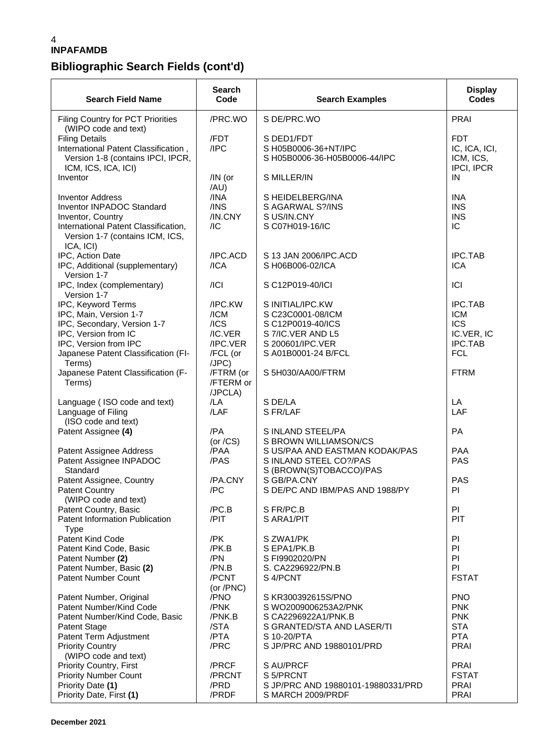## **Bibliographic Search Fields (cont'd)**

| <b>Search Field Name</b>                                                                                                                                                      | <b>Search</b><br>Code                                                  | <b>Search Examples</b>                                                                                                     | <b>Display</b><br><b>Codes</b>                                                    |
|-------------------------------------------------------------------------------------------------------------------------------------------------------------------------------|------------------------------------------------------------------------|----------------------------------------------------------------------------------------------------------------------------|-----------------------------------------------------------------------------------|
| Filing Country for PCT Priorities<br>(WIPO code and text)                                                                                                                     | /PRC.WO                                                                | S DE/PRC.WO                                                                                                                | <b>PRAI</b>                                                                       |
| <b>Filing Details</b><br>International Patent Classification,<br>Version 1-8 (contains IPCI, IPCR,<br>ICM, ICS, ICA, ICI)                                                     | /FDT<br>/IPC                                                           | S DED1/FDT<br>S H05B0006-36+NT/IPC<br>S H05B0006-36-H05B0006-44/IPC                                                        | <b>FDT</b><br>IC, ICA, ICI,<br>ICM, ICS,<br>IPCI, IPCR                            |
| Inventor                                                                                                                                                                      | /IN (or<br>/AU)                                                        | S MILLER/IN                                                                                                                | IN                                                                                |
| <b>Inventor Address</b><br>Inventor INPADOC Standard<br>Inventor, Country<br>International Patent Classification,<br>Version 1-7 (contains ICM, ICS,<br>ICA, ICI)             | /INA<br>$/$ INS<br>/IN.CNY<br>/IC                                      | S HEIDELBERG/INA<br>S AGARWAL S?/INS<br>S US/IN.CNY<br>S C07H019-16/IC                                                     | <b>INA</b><br><b>INS</b><br><b>INS</b><br>IC                                      |
| IPC, Action Date<br>IPC, Additional (supplementary)<br>Version 1-7                                                                                                            | /IPC.ACD<br>/ICA                                                       | S 13 JAN 2006/IPC.ACD<br>S H06B006-02/ICA                                                                                  | <b>IPC.TAB</b><br><b>ICA</b>                                                      |
| IPC, Index (complementary)<br>Version 1-7                                                                                                                                     | / C                                                                    | S C12P019-40/ICI                                                                                                           | ICI                                                                               |
| IPC, Keyword Terms<br>IPC, Main, Version 1-7<br>IPC, Secondary, Version 1-7<br>IPC, Version from IC<br>IPC, Version from IPC<br>Japanese Patent Classification (FI-<br>Terms) | /IPC.KW<br>/ICM<br>$/$ ICS<br>/IC.VER<br>/IPC.VER<br>/FCL (or<br>(JPC) | S INITIAL/IPC.KW<br>S C23C0001-08/ICM<br>S C12P0019-40/ICS<br>S 7/IC.VER AND L5<br>S 200601/IPC.VER<br>S A01B0001-24 B/FCL | <b>IPC.TAB</b><br><b>ICM</b><br><b>ICS</b><br>IC.VER, IC<br>IPC.TAB<br><b>FCL</b> |
| Japanese Patent Classification (F-<br>Terms)                                                                                                                                  | /FTRM (or<br>/FTERM or<br>/JPCLA)                                      | S 5H030/AA00/FTRM                                                                                                          | <b>FTRM</b>                                                                       |
| Language (ISO code and text)<br>Language of Filing<br>(ISO code and text)                                                                                                     | /LA<br>/LAF                                                            | S DE/LA<br>S FR/LAF                                                                                                        | LA<br>LAF                                                                         |
| Patent Assignee (4)                                                                                                                                                           | /PA<br>(or $/CS$ )                                                     | S INLAND STEEL/PA<br>S BROWN WILLIAMSON/CS                                                                                 | PA                                                                                |
| Patent Assignee Address<br>Patent Assignee INPADOC<br>Standard                                                                                                                | /PAA<br>/PAS                                                           | S US/PAA AND EASTMAN KODAK/PAS<br>S INLAND STEEL CO?/PAS<br>S (BROWN(S)TOBACCO)/PAS                                        | <b>PAA</b><br><b>PAS</b>                                                          |
| Patent Assignee, Country<br><b>Patent Country</b><br>(WIPO code and text)                                                                                                     | /PA.CNY<br>/PC                                                         | S GB/PA.CNY<br>S DE/PC AND IBM/PAS AND 1988/PY                                                                             | <b>PAS</b><br>PI                                                                  |
| Patent Country, Basic<br>Patent Information Publication<br><b>Type</b>                                                                                                        | /PC.B<br>/PIT                                                          | S FR/PC.B<br>S ARA1/PIT                                                                                                    | PI<br>PIT                                                                         |
| Patent Kind Code<br>Patent Kind Code, Basic<br>Patent Number (2)<br>Patent Number, Basic (2)                                                                                  | /PK<br>/PK.B<br>/PN<br>/PN.B                                           | S ZWA1/PK<br>S EPA1/PK.B<br>S FI9902020/PN<br>S. CA2296922/PN.B                                                            | PI<br>PI<br>PI<br>PI                                                              |
| <b>Patent Number Count</b>                                                                                                                                                    | /PCNT<br>(or /PNC)                                                     | S 4/PCNT                                                                                                                   | <b>FSTAT</b>                                                                      |
| Patent Number, Original<br>Patent Number/Kind Code<br>Patent Number/Kind Code, Basic<br><b>Patent Stage</b><br>Patent Term Adjustment                                         | /PNO<br>/PNK<br>/PNK.B<br>/STA<br>/PTA                                 | S KR300392615S/PNO<br>S WO2009006253A2/PNK<br>S CA2296922A1/PNK.B<br>S GRANTED/STA AND LASER/TI<br>S 10-20/PTA             | <b>PNO</b><br><b>PNK</b><br><b>PNK</b><br><b>STA</b><br><b>PTA</b>                |
| <b>Priority Country</b><br>(WIPO code and text)                                                                                                                               | /PRC                                                                   | S JP/PRC AND 19880101/PRD                                                                                                  | <b>PRAI</b>                                                                       |
| <b>Priority Country, First</b><br><b>Priority Number Count</b><br>Priority Date (1)<br>Priority Date, First (1)                                                               | /PRCF<br>/PRCNT<br>/PRD<br>/PRDF                                       | S AU/PRCF<br>S 5/PRCNT<br>S JP/PRC AND 19880101-19880331/PRD<br>S MARCH 2009/PRDF                                          | PRAI<br><b>FSTAT</b><br><b>PRAI</b><br><b>PRAI</b>                                |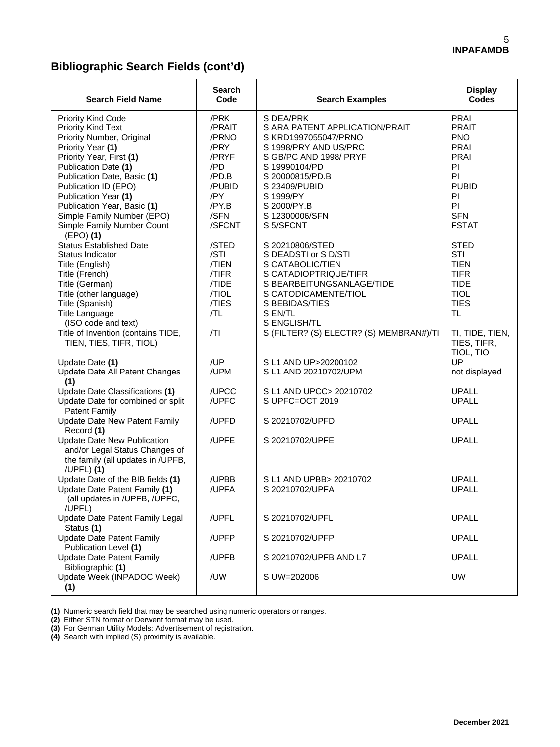## **Bibliographic Search Fields (cont'd)**

| <b>Search Field Name</b>                                                                                                                                                                                                                                                                                                        | <b>Search</b><br>Code                                                                                | <b>Search Examples</b>                                                                                                                                                                                                                 | <b>Display</b><br><b>Codes</b>                                                                                                 |
|---------------------------------------------------------------------------------------------------------------------------------------------------------------------------------------------------------------------------------------------------------------------------------------------------------------------------------|------------------------------------------------------------------------------------------------------|----------------------------------------------------------------------------------------------------------------------------------------------------------------------------------------------------------------------------------------|--------------------------------------------------------------------------------------------------------------------------------|
| <b>Priority Kind Code</b><br>Priority Kind Text<br>Priority Number, Original<br>Priority Year (1)<br>Priority Year, First (1)<br>Publication Date (1)<br>Publication Date, Basic (1)<br>Publication ID (EPO)<br>Publication Year (1)<br>Publication Year, Basic (1)<br>Simple Family Number (EPO)<br>Simple Family Number Count | /PRK<br>/PRAIT<br>/PRNO<br>/PRY<br>/PRYF<br>/PD<br>/PD.B<br>/PUBID<br>/PY<br>/PY.B<br>/SFN<br>/SFCNT | S DEA/PRK<br>S ARA PATENT APPLICATION/PRAIT<br>S KRD1997055047/PRNO<br>S 1998/PRY AND US/PRC<br>S GB/PC AND 1998/ PRYF<br>S 19990104/PD<br>S 20000815/PD.B<br>S 23409/PUBID<br>S 1999/PY<br>S 2000/PY.B<br>S 12300006/SFN<br>S 5/SFCNT | PRAI<br><b>PRAIT</b><br><b>PNO</b><br>PRAI<br><b>PRAI</b><br>PI<br>PI<br><b>PUBID</b><br>PI<br>P<br><b>SFN</b><br><b>FSTAT</b> |
| $(EPO)$ (1)<br><b>Status Established Date</b><br>Status Indicator<br>Title (English)<br>Title (French)<br>Title (German)<br>Title (other language)<br>Title (Spanish)<br><b>Title Language</b><br>(ISO code and text)                                                                                                           | /STED<br>/STI<br>/TIEN<br>/TIFR<br>/TIDE<br>/TIOL<br>/TIES<br>/TL                                    | S 20210806/STED<br>S DEADSTI or S D/STI<br>S CATABOLIC/TIEN<br>S CATADIOPTRIQUE/TIFR<br>S BEARBEITUNGSANLAGE/TIDE<br>S CATODICAMENTE/TIOL<br>S BEBIDAS/TIES<br>S EN/TL<br>S ENGLISH/TL                                                 | <b>STED</b><br>STI<br><b>TIEN</b><br><b>TIFR</b><br><b>TIDE</b><br><b>TIOL</b><br><b>TIES</b><br><b>TL</b>                     |
| Title of Invention (contains TIDE,<br>TIEN, TIES, TIFR, TIOL)<br>Update Date (1)<br>Update Date All Patent Changes                                                                                                                                                                                                              | /TI<br>/UP<br>/UPM                                                                                   | S (FILTER? (S) ELECTR? (S) MEMBRAN#)/TI<br>S L1 AND UP>20200102<br>S L1 AND 20210702/UPM                                                                                                                                               | TI, TIDE, TIEN,<br>TIES, TIFR,<br>TIOL, TIO<br>UP<br>not displayed                                                             |
| (1)<br>Update Date Classifications (1)<br>Update Date for combined or split<br><b>Patent Family</b>                                                                                                                                                                                                                             | /UPCC<br>/UPFC                                                                                       | S L1 AND UPCC> 20210702<br>S UPFC=OCT 2019                                                                                                                                                                                             | <b>UPALL</b><br><b>UPALL</b>                                                                                                   |
| <b>Update Date New Patent Family</b><br>Record (1)                                                                                                                                                                                                                                                                              | /UPFD                                                                                                | S 20210702/UPFD                                                                                                                                                                                                                        | <b>UPALL</b>                                                                                                                   |
| Update Date New Publication<br>and/or Legal Status Changes of<br>the family (all updates in /UPFB,<br>/UPFL) (1)                                                                                                                                                                                                                | /UPFE                                                                                                | S 20210702/UPFE                                                                                                                                                                                                                        | <b>UPALL</b>                                                                                                                   |
| Update Date of the BIB fields (1)<br>Update Date Patent Family (1)<br>(all updates in /UPFB, /UPFC,<br>/UPFL)                                                                                                                                                                                                                   | /UPBB<br>/UPFA                                                                                       | S L1 AND UPBB> 20210702<br>S 20210702/UPFA                                                                                                                                                                                             | <b>UPALL</b><br><b>UPALL</b>                                                                                                   |
| Update Date Patent Family Legal<br>Status (1)                                                                                                                                                                                                                                                                                   | /UPFL                                                                                                | S 20210702/UPFL                                                                                                                                                                                                                        | <b>UPALL</b>                                                                                                                   |
| <b>Update Date Patent Family</b><br>Publication Level (1)                                                                                                                                                                                                                                                                       | /UPFP                                                                                                | S 20210702/UPFP                                                                                                                                                                                                                        | <b>UPALL</b>                                                                                                                   |
| <b>Update Date Patent Family</b><br>Bibliographic (1)                                                                                                                                                                                                                                                                           | /UPFB                                                                                                | S 20210702/UPFB AND L7                                                                                                                                                                                                                 | <b>UPALL</b>                                                                                                                   |
| Update Week (INPADOC Week)<br>(1)                                                                                                                                                                                                                                                                                               | /UW                                                                                                  | S UW=202006                                                                                                                                                                                                                            | <b>UW</b>                                                                                                                      |

**(1)** Numeric search field that may be searched using numeric operators or ranges.

**(2)** Either STN format or Derwent format may be used.

**(3)** For German Utility Models: Advertisement of registration.

**(4)** Search with implied (S) proximity is available.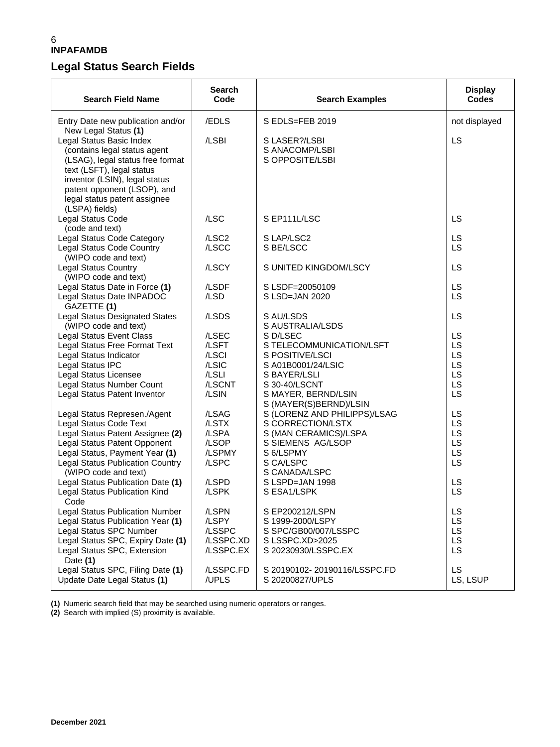## **Legal Status Search Fields**

| <b>Search Field Name</b>                                                                                                                                                                                                                    | Search<br>Code                                     | <b>Search Examples</b>                                                                                | <b>Display</b><br><b>Codes</b>       |
|---------------------------------------------------------------------------------------------------------------------------------------------------------------------------------------------------------------------------------------------|----------------------------------------------------|-------------------------------------------------------------------------------------------------------|--------------------------------------|
| Entry Date new publication and/or<br>New Legal Status (1)                                                                                                                                                                                   | /EDLS                                              | S EDLS=FEB 2019                                                                                       | not displayed                        |
| Legal Status Basic Index<br>(contains legal status agent<br>(LSAG), legal status free format<br>text (LSFT), legal status<br>inventor (LSIN), legal status<br>patent opponent (LSOP), and<br>legal status patent assignee<br>(LSPA) fields) | /LSBI                                              | S LASER?/LSBI<br>S ANACOMP/LSBI<br>S OPPOSITE/LSBI                                                    | LS                                   |
| Legal Status Code<br>(code and text)                                                                                                                                                                                                        | /LSC                                               | S EP111L/LSC                                                                                          | LS                                   |
| Legal Status Code Category<br>Legal Status Code Country<br>(WIPO code and text)                                                                                                                                                             | /LSC <sub>2</sub><br>/LSCC                         | S LAP/LSC2<br>S BE/LSCC                                                                               | LS<br>LS                             |
| <b>Legal Status Country</b><br>(WIPO code and text)                                                                                                                                                                                         | /LSCY                                              | S UNITED KINGDOM/LSCY                                                                                 | LS                                   |
| Legal Status Date in Force (1)                                                                                                                                                                                                              | /LSDF                                              | S LSDF=20050109                                                                                       | LS                                   |
| Legal Status Date INPADOC<br>GAZETTE (1)                                                                                                                                                                                                    | /LSD                                               | S LSD=JAN 2020                                                                                        | <b>LS</b>                            |
| <b>Legal Status Designated States</b><br>(WIPO code and text)                                                                                                                                                                               | /LSDS                                              | S AU/LSDS<br>S AUSTRALIA/LSDS                                                                         | LS                                   |
| <b>Legal Status Event Class</b>                                                                                                                                                                                                             | /LSEC                                              | S D/LSEC                                                                                              | LS                                   |
| Legal Status Free Format Text<br>Legal Status Indicator                                                                                                                                                                                     | /LSFT<br>/LSCI                                     | S TELECOMMUNICATION/LSFT<br>S POSITIVE/LSCI                                                           | LS<br>LS                             |
| Legal Status IPC                                                                                                                                                                                                                            | /LSIC                                              | S A01B0001/24/LSIC                                                                                    | LS                                   |
| Legal Status Licensee                                                                                                                                                                                                                       | /LSLI                                              | S BAYER/LSLI                                                                                          | LS                                   |
| Legal Status Number Count                                                                                                                                                                                                                   | /LSCNT                                             | S 30-40/LSCNT                                                                                         | LS                                   |
| Legal Status Patent Inventor                                                                                                                                                                                                                | /LSIN                                              | S MAYER, BERND/LSIN<br>S (MAYER(S)BERND)/LSIN                                                         | <b>LS</b>                            |
| Legal Status Represen./Agent                                                                                                                                                                                                                | /LSAG                                              | S (LORENZ AND PHILIPPS)/LSAG                                                                          | LS                                   |
| Legal Status Code Text                                                                                                                                                                                                                      | /LSTX                                              | S CORRECTION/LSTX                                                                                     | LS                                   |
| Legal Status Patent Assignee (2)                                                                                                                                                                                                            | /LSPA                                              | S (MAN CERAMICS)/LSPA                                                                                 | LS                                   |
| Legal Status Patent Opponent                                                                                                                                                                                                                | /LSOP                                              | S SIEMENS AG/LSOP                                                                                     | LS                                   |
| Legal Status, Payment Year (1)                                                                                                                                                                                                              | /LSPMY                                             | S 6/LSPMY                                                                                             | LS                                   |
| <b>Legal Status Publication Country</b>                                                                                                                                                                                                     | /LSPC                                              | S CA/LSPC                                                                                             | LS                                   |
| (WIPO code and text)                                                                                                                                                                                                                        |                                                    | S CANADA/LSPC                                                                                         |                                      |
| Legal Status Publication Date (1)                                                                                                                                                                                                           | /LSPD                                              | S LSPD=JAN 1998                                                                                       | LS                                   |
| Legal Status Publication Kind<br>Code                                                                                                                                                                                                       | /LSPK                                              | S ESA1/LSPK                                                                                           | LS                                   |
| <b>Legal Status Publication Number</b><br>Legal Status Publication Year (1)<br>Legal Status SPC Number<br>Legal Status SPC, Expiry Date (1)<br>Legal Status SPC, Extension<br>Date $(1)$                                                    | /LSPN<br>/LSPY<br>/LSSPC<br>/LSSPC.XD<br>/LSSPC.EX | S EP200212/LSPN<br>S 1999-2000/LSPY<br>S SPC/GB00/007/LSSPC<br>S LSSPC.XD>2025<br>S 20230930/LSSPC.EX | LS<br>LS.<br><b>LS</b><br>LS.<br>LS. |
| Legal Status SPC, Filing Date (1)<br>Update Date Legal Status (1)                                                                                                                                                                           | /LSSPC.FD<br>/UPLS                                 | S 20190102-20190116/LSSPC.FD<br>S 20200827/UPLS                                                       | LS.<br>LS, LSUP                      |

**(1)** Numeric search field that may be searched using numeric operators or ranges.

**(2)** Search with implied (S) proximity is available.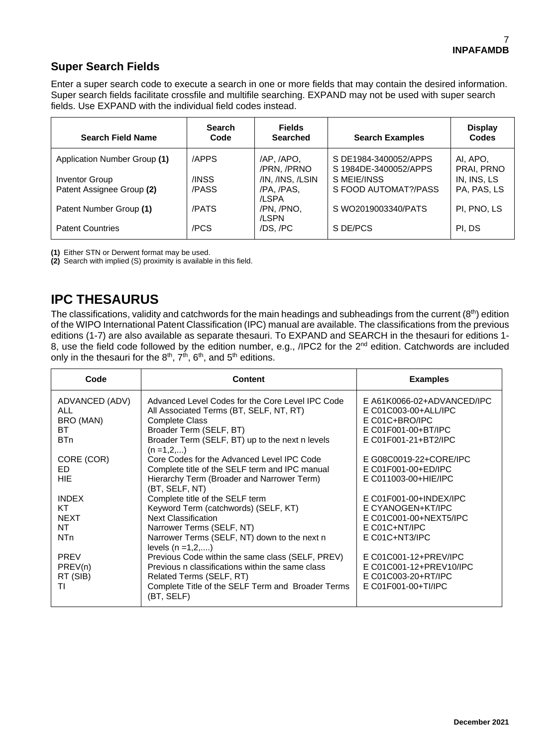### **Super Search Fields**

Enter a super search code to execute a search in one or more fields that may contain the desired information. Super search fields facilitate crossfile and multifile searching. EXPAND may not be used with super search fields. Use EXPAND with the individual field codes instead.

| <b>Search Field Name</b>     | <b>Search</b><br>Code | <b>Fields</b><br><b>Searched</b> | <b>Search Examples</b>                         | <b>Display</b><br>Codes |
|------------------------------|-----------------------|----------------------------------|------------------------------------------------|-------------------------|
| Application Number Group (1) | /APPS                 | /AP, /APO,<br>/PRN, /PRNO        | S DE1984-3400052/APPS<br>S 1984DE-3400052/APPS | AI, APO,<br>PRAI, PRNO  |
| Inventor Group               | /INSS                 | /IN, /INS, /LSIN                 | S MEIE/INSS                                    | IN, INS, LS             |
| Patent Assignee Group (2)    | /PASS                 | /PA. /PAS.<br>/LSPA              | S FOOD AUTOMAT?/PASS                           | PA, PAS, LS             |
| Patent Number Group (1)      | /PATS                 | /PN, /PNO,<br>/LSPN              | S WO2019003340/PATS                            | PI, PNO, LS             |
| <b>Patent Countries</b>      | /PCS                  | /DS./PC                          | S DE/PCS                                       | PI. DS                  |

**(1)** Either STN or Derwent format may be used.

**(2)** Search with implied (S) proximity is available in this field.

## **IPC THESAURUS**

The classifications, validity and catchwords for the main headings and subheadings from the current  $(8<sup>th</sup>)$  edition of the WIPO International Patent Classification (IPC) manual are available. The classifications from the previous editions (1-7) are also available as separate thesauri. To EXPAND and SEARCH in the thesauri for editions 1- 8, use the field code followed by the edition number, e.g., /IPC2 for the 2<sup>nd</sup> edition. Catchwords are included only in the thesauri for the  $8<sup>th</sup>$ ,  $7<sup>th</sup>$ ,  $6<sup>th</sup>$ , and  $5<sup>th</sup>$  editions.

| Code                                                   | <b>Content</b>                                                                                                                                                                                                       | <b>Examples</b>                                                                                                     |
|--------------------------------------------------------|----------------------------------------------------------------------------------------------------------------------------------------------------------------------------------------------------------------------|---------------------------------------------------------------------------------------------------------------------|
| ADVANCED (ADV)<br><b>ALL</b><br>BRO (MAN)<br>ВT<br>BTn | Advanced Level Codes for the Core Level IPC Code<br>All Associated Terms (BT, SELF, NT, RT)<br><b>Complete Class</b><br>Broader Term (SELF, BT)<br>Broader Term (SELF, BT) up to the next n levels<br>$(n = 1, 2, )$ | E A61K0066-02+ADVANCED/IPC<br>E C01C003-00+ALL/IPC<br>E C01C+BRO/IPC<br>E C01F001-00+BT/IPC<br>E C01F001-21+BT2/IPC |
| CORE (COR)                                             | Core Codes for the Advanced Level IPC Code                                                                                                                                                                           | E G08C0019-22+CORE/IPC                                                                                              |
| ED.                                                    | Complete title of the SELF term and IPC manual                                                                                                                                                                       | E C01F001-00+ED/IPC                                                                                                 |
| <b>HIE</b>                                             | Hierarchy Term (Broader and Narrower Term)<br>(BT, SELF, NT)                                                                                                                                                         | E C011003-00+HIE/IPC                                                                                                |
| <b>INDEX</b>                                           | Complete title of the SELF term                                                                                                                                                                                      | E C01F001-00+INDEX/IPC                                                                                              |
| KT.                                                    | Keyword Term (catchwords) (SELF, KT)                                                                                                                                                                                 | E CYANOGEN+KT/IPC                                                                                                   |
| <b>NEXT</b>                                            | <b>Next Classification</b>                                                                                                                                                                                           | E C01C001-00+NEXT5/IPC                                                                                              |
| NT.                                                    | Narrower Terms (SELF, NT)                                                                                                                                                                                            | $E CO1C+NT/IPC$                                                                                                     |
| N <sub>T</sub> n                                       | Narrower Terms (SELF, NT) down to the next n<br>levels $(n = 1, 2, )$                                                                                                                                                | E C01C+NT3/IPC                                                                                                      |
| <b>PREV</b>                                            | Previous Code within the same class (SELF, PREV)                                                                                                                                                                     | E C01C001-12+PREV/IPC                                                                                               |
| PREV(n)                                                | Previous n classifications within the same class                                                                                                                                                                     | E C01C001-12+PREV10/IPC                                                                                             |
| RT (SIB)                                               | Related Terms (SELF, RT)                                                                                                                                                                                             | E C01C003-20+RT/IPC                                                                                                 |
| TI                                                     | Complete Title of the SELF Term and Broader Terms<br>(BT, SELF)                                                                                                                                                      | E C01F001-00+TI/IPC                                                                                                 |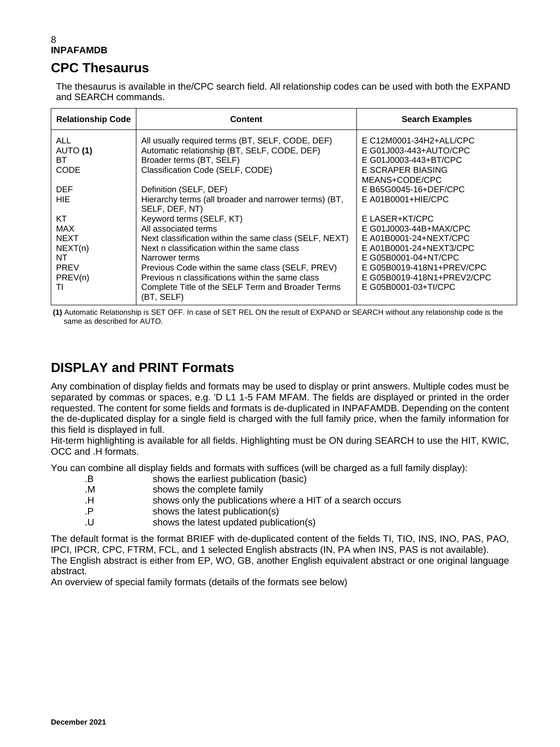## **CPC Thesaurus**

The thesaurus is available in the/CPC search field. All relationship codes can be used with both the EXPAND and SEARCH commands.

| <b>Relationship Code</b> | <b>Content</b>                                                  | <b>Search Examples</b>     |
|--------------------------|-----------------------------------------------------------------|----------------------------|
| <b>ALL</b>               | All usually required terms (BT, SELF, CODE, DEF)                | E C12M0001-34H2+ALL/CPC    |
| AUTO (1)                 | Automatic relationship (BT, SELF, CODE, DEF)                    | E G01J003-443+AUTO/CPC     |
| ВT                       | Broader terms (BT, SELF)                                        | E G01J0003-443+BT/CPC      |
| CODE                     | Classification Code (SELF, CODE)                                | E SCRAPER BIASING          |
|                          |                                                                 | MEANS+CODE/CPC             |
| <b>DEF</b>               | Definition (SELF, DEF)                                          | E B65G0045-16+DEF/CPC      |
| HIE.                     | Hierarchy terms (all broader and narrower terms) (BT,           | $E$ A01B0001+HIE/CPC       |
|                          | SELF, DEF, NT)                                                  |                            |
| КT                       | Keyword terms (SELF, KT)                                        | E LASER+KT/CPC             |
| MAX                      | All associated terms                                            | E G01J0003-44B+MAX/CPC     |
| <b>NEXT</b>              | Next classification within the same class (SELF, NEXT)          | E A01B0001-24+NEXT/CPC     |
| NEXT(n)                  | Next n classification within the same class                     | E A01B0001-24+NEXT3/CPC    |
| NT                       | Narrower terms                                                  | E G05B0001-04+NT/CPC       |
| <b>PREV</b>              | Previous Code within the same class (SELF, PREV)                | E G05B0019-418N1+PREV/CPC  |
| PREV(n)                  | Previous n classifications within the same class                | E G05B0019-418N1+PREV2/CPC |
| ΤI                       | Complete Title of the SELF Term and Broader Terms<br>(BT, SELF) | E G05B0001-03+TI/CPC       |

**(1)** Automatic Relationship is SET OFF. In case of SET REL ON the result of EXPAND or SEARCH without any relationship code is the same as described for AUTO.

## **DISPLAY and PRINT Formats**

Any combination of display fields and formats may be used to display or print answers. Multiple codes must be separated by commas or spaces, e.g. 'D L1 1-5 FAM MFAM. The fields are displayed or printed in the order requested. The content for some fields and formats is de-duplicated in INPAFAMDB. Depending on the content the de-duplicated display for a single field is charged with the full family price, when the family information for this field is displayed in full.

Hit-term highlighting is available for all fields. Highlighting must be ON during SEARCH to use the HIT, KWIC, OCC and .H formats.

You can combine all display fields and formats with suffices (will be charged as a full family display):

- .B shows the earliest publication (basic)
- .M shows the complete family
- .H shows only the publications where a HIT of a search occurs
- .P shows the latest publication(s)
- .U shows the latest updated publication(s)

The default format is the format BRIEF with de-duplicated content of the fields TI, TIO, INS, INO, PAS, PAO, IPCI, IPCR, CPC, FTRM, FCL, and 1 selected English abstracts (IN, PA when INS, PAS is not available). The English abstract is either from EP, WO, GB, another English equivalent abstract or one original language abstract.

An overview of special family formats (details of the formats see below)

**December 2021**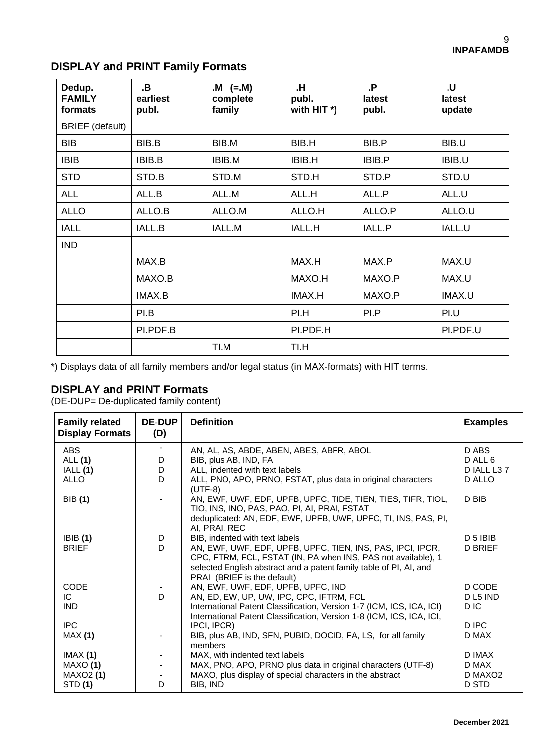| Dedup.<br><b>FAMILY</b><br>formats | .B<br>earliest<br>publ. | $(M = M)$<br>complete<br>family | .н<br>publ.<br>with HIT $*$ ) | .Р<br>latest<br>publ. | U.<br>latest<br>update |
|------------------------------------|-------------------------|---------------------------------|-------------------------------|-----------------------|------------------------|
| <b>BRIEF</b> (default)             |                         |                                 |                               |                       |                        |
| <b>BIB</b>                         | BIB.B                   | BIB.M                           | BIB.H                         | BIB.P                 | BIB.U                  |
| <b>IBIB</b>                        | <b>IBIB.B</b>           | IBIB.M                          | <b>IBIB.H</b>                 | IBIB.P                | IBIB.U                 |
| <b>STD</b>                         | STD.B                   | STD.M                           | STD.H                         | STD.P                 | STD.U                  |
| <b>ALL</b>                         | ALL.B                   | ALL.M                           | ALL.H                         | ALL.P                 | ALL.U                  |
| <b>ALLO</b>                        | ALLO.B                  | ALLO.M                          | ALLO.H                        | ALLO.P                | ALLO.U                 |
| <b>IALL</b>                        | <b>IALL.B</b>           | IALL.M                          | IALL.H                        | IALL.P                | IALL.U                 |
| <b>IND</b>                         |                         |                                 |                               |                       |                        |
|                                    | MAX.B                   |                                 | MAX.H                         | MAX.P                 | MAX.U                  |
|                                    | MAXO.B                  |                                 | MAXO.H                        | MAXO.P                | MAX.U                  |
|                                    | IMAX.B                  |                                 | IMAX.H                        | MAXO.P                | IMAX.U                 |
|                                    | PI.B                    |                                 | PI.H                          | PI.P                  | PI.U                   |
|                                    | PI.PDF.B                |                                 | PI.PDF.H                      |                       | PI.PDF.U               |
|                                    |                         | TI.M                            | TI.H                          |                       |                        |

## **DISPLAY and PRINT Family Formats**

\*) Displays data of all family members and/or legal status (in MAX-formats) with HIT terms.

### **DISPLAY and PRINT Formats**

(DE-DUP= De-duplicated family content)

| <b>Family related</b><br><b>Display Formats</b> | <b>DE-DUP</b><br>(D) | <b>Definition</b>                                                                                                                                                                                                                | <b>Examples</b>       |
|-------------------------------------------------|----------------------|----------------------------------------------------------------------------------------------------------------------------------------------------------------------------------------------------------------------------------|-----------------------|
| ABS                                             |                      | AN, AL, AS, ABDE, ABEN, ABES, ABFR, ABOL                                                                                                                                                                                         | D ABS                 |
| <b>ALL</b> (1)                                  | D<br>D               | BIB, plus AB, IND, FA<br>ALL, indented with text labels                                                                                                                                                                          | D ALL 6<br>D IALL L37 |
| IALL(1)<br>ALLO                                 | D.                   | ALL, PNO, APO, PRNO, FSTAT, plus data in original characters                                                                                                                                                                     | D ALLO                |
|                                                 |                      | $(UTF-8)$                                                                                                                                                                                                                        |                       |
| <b>BIB</b> (1)                                  |                      | AN, EWF, UWF, EDF, UPFB, UPFC, TIDE, TIEN, TIES, TIFR, TIOL,<br>TIO, INS, INO, PAS, PAO, PI, AI, PRAI, FSTAT<br>deduplicated: AN, EDF, EWF, UPFB, UWF, UPFC, TI, INS, PAS, PI,                                                   | D BIB                 |
|                                                 |                      | AI, PRAI, REC                                                                                                                                                                                                                    |                       |
| IBIB(1)                                         | D                    | BIB, indented with text labels                                                                                                                                                                                                   | $D$ 5 IBIB            |
| <b>BRIEF</b>                                    | D                    | AN, EWF, UWF, EDF, UPFB, UPFC, TIEN, INS, PAS, IPCI, IPCR,<br>CPC, FTRM, FCL, FSTAT (IN, PA when INS, PAS not available), 1<br>selected English abstract and a patent family table of PI, AI, and<br>PRAI (BRIEF is the default) | <b>D BRIEF</b>        |
| <b>CODE</b>                                     |                      | AN, EWF, UWF, EDF, UPFB, UPFC, IND                                                                                                                                                                                               | D CODE                |
| IC.                                             | D                    | AN, ED, EW, UP, UW, IPC, CPC, IFTRM, FCL                                                                                                                                                                                         | D <sub>L5</sub> IND   |
| <b>IND</b>                                      |                      | International Patent Classification, Version 1-7 (ICM, ICS, ICA, ICI)<br>International Patent Classification, Version 1-8 (ICM, ICS, ICA, ICI,                                                                                   | D IC                  |
| <b>IPC</b>                                      |                      | IPCI, IPCR)                                                                                                                                                                                                                      | D IPC                 |
| MAX(1)                                          |                      | BIB, plus AB, IND, SFN, PUBID, DOCID, FA, LS, for all family<br>members                                                                                                                                                          | D MAX                 |
| IMAX(1)                                         |                      | MAX, with indented text labels                                                                                                                                                                                                   | D IMAX                |
| MAXO (1)                                        |                      | MAX, PNO, APO, PRNO plus data in original characters (UTF-8)                                                                                                                                                                     | D MAX                 |
| MAXO2 (1)                                       |                      | MAXO, plus display of special characters in the abstract                                                                                                                                                                         | D MAXO <sub>2</sub>   |
| STD (1)                                         | D                    | BIB, IND                                                                                                                                                                                                                         | D STD                 |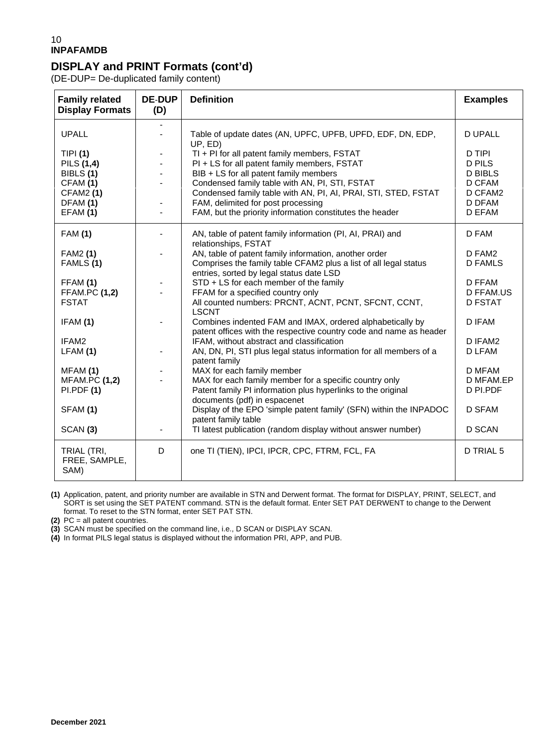### **DISPLAY and PRINT Formats (cont'd)**

(DE-DUP= De-duplicated family content)

| <b>Family related</b><br><b>Display Formats</b>                                                    | <b>DE-DUP</b><br>(D) | <b>Definition</b>                                                                                                                                                                                                                                                                                                                                            | <b>Examples</b>                                                                           |
|----------------------------------------------------------------------------------------------------|----------------------|--------------------------------------------------------------------------------------------------------------------------------------------------------------------------------------------------------------------------------------------------------------------------------------------------------------------------------------------------------------|-------------------------------------------------------------------------------------------|
| <b>UPALL</b>                                                                                       |                      | Table of update dates (AN, UPFC, UPFB, UPFD, EDF, DN, EDP,<br>UP, ED)                                                                                                                                                                                                                                                                                        | <b>D UPALL</b>                                                                            |
| <b>TIPI</b> (1)<br>PILS (1,4)<br>BIBLS (1)<br>CFAM (1)<br><b>CFAM2 (1)</b><br>DFAM (1)<br>EFAM (1) |                      | TI + PI for all patent family members, FSTAT<br>PI + LS for all patent family members, FSTAT<br>BIB + LS for all patent family members<br>Condensed family table with AN, PI, STI, FSTAT<br>Condensed family table with AN, PI, AI, PRAI, STI, STED, FSTAT<br>FAM, delimited for post processing<br>FAM, but the priority information constitutes the header | D TIPI<br><b>D PILS</b><br><b>D BIBLS</b><br>D CFAM<br>D CFAM2<br>D DFAM<br><b>D EFAM</b> |
| <b>FAM (1)</b>                                                                                     | $\blacksquare$       | AN, table of patent family information (PI, AI, PRAI) and<br>relationships, FSTAT                                                                                                                                                                                                                                                                            | D FAM                                                                                     |
| FAM2 (1)<br>FAMLS (1)                                                                              |                      | AN, table of patent family information, another order<br>Comprises the family table CFAM2 plus a list of all legal status<br>entries, sorted by legal status date LSD                                                                                                                                                                                        | D FAM2<br><b>D FAMLS</b>                                                                  |
| FFAM (1)<br><b>FFAM.PC (1,2)</b><br><b>FSTAT</b>                                                   |                      | STD + LS for each member of the family<br>FFAM for a specified country only<br>All counted numbers: PRCNT, ACNT, PCNT, SFCNT, CCNT,<br><b>LSCNT</b>                                                                                                                                                                                                          | <b>D FFAM</b><br><b>D FFAM.US</b><br><b>D FSTAT</b>                                       |
| IFAM (1)                                                                                           |                      | Combines indented FAM and IMAX, ordered alphabetically by<br>patent offices with the respective country code and name as header                                                                                                                                                                                                                              | D IFAM                                                                                    |
| IFAM2<br>LFAM(1)                                                                                   |                      | IFAM, without abstract and classification<br>AN, DN, PI, STI plus legal status information for all members of a<br>patent family                                                                                                                                                                                                                             | D IFAM2<br>D LFAM                                                                         |
| MFAM (1)<br><b>MFAM.PC (1,2)</b>                                                                   |                      | MAX for each family member<br>MAX for each family member for a specific country only                                                                                                                                                                                                                                                                         | D MFAM<br>D MFAM.EP                                                                       |
| PI.PDF(1)                                                                                          |                      | Patent family PI information plus hyperlinks to the original<br>documents (pdf) in espacenet                                                                                                                                                                                                                                                                 | D PI.PDF                                                                                  |
| SFAM (1)                                                                                           |                      | Display of the EPO 'simple patent family' (SFN) within the INPADOC<br>patent family table                                                                                                                                                                                                                                                                    | <b>D SFAM</b>                                                                             |
| SCAN(3)                                                                                            |                      | TI latest publication (random display without answer number)                                                                                                                                                                                                                                                                                                 | D SCAN                                                                                    |
| TRIAL (TRI,<br>FREE, SAMPLE,<br>SAM)                                                               | D                    | one TI (TIEN), IPCI, IPCR, CPC, FTRM, FCL, FA                                                                                                                                                                                                                                                                                                                | D TRIAL 5                                                                                 |

**(1)** Application, patent, and priority number are available in STN and Derwent format. The format for DISPLAY, PRINT, SELECT, and SORT is set using the SET PATENT command. STN is the default format. Enter SET PAT DERWENT to change to the Derwent format. To reset to the STN format, enter SET PAT STN.

**(2)** PC = all patent countries.

**(3)** SCAN must be specified on the command line, i.e., D SCAN or DISPLAY SCAN.

**(4)** In format PILS legal status is displayed without the information PRI, APP, and PUB.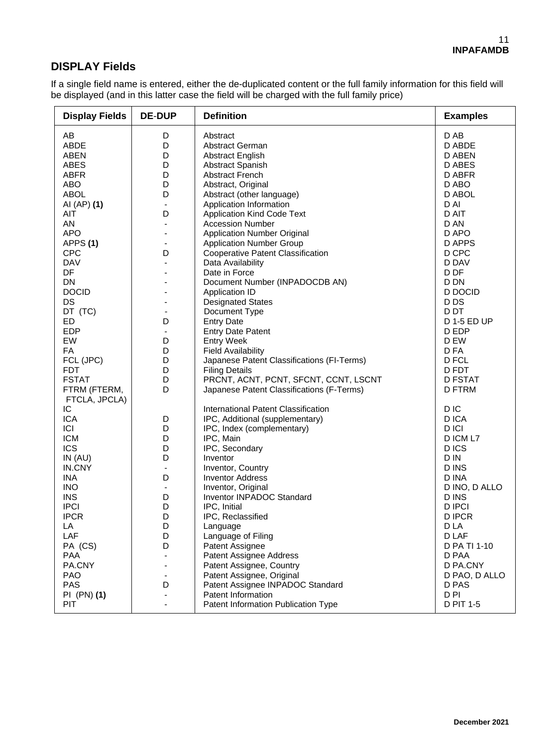### **DISPLAY Fields**

If a single field name is entered, either the de-duplicated content or the full family information for this field will be displayed (and in this latter case the field will be charged with the full family price)

| <b>Display Fields</b> | <b>DE-DUP</b>            | <b>Definition</b>                          | <b>Examples</b> |
|-----------------------|--------------------------|--------------------------------------------|-----------------|
| AB                    | D                        | Abstract                                   | D AB            |
| <b>ABDE</b>           | D                        | Abstract German                            | D ABDE          |
| <b>ABEN</b>           | D                        | <b>Abstract English</b>                    | D ABEN          |
| <b>ABES</b>           | D                        | Abstract Spanish                           | <b>D ABES</b>   |
| <b>ABFR</b>           | D                        | <b>Abstract French</b>                     | D ABFR          |
| ABO                   | D                        | Abstract, Original                         | D ABO           |
| <b>ABOL</b>           | D                        | Abstract (other language)                  | D ABOL          |
| AI (AP) (1)           | $\overline{\phantom{a}}$ | Application Information                    | D AI            |
| AIT                   | D                        | <b>Application Kind Code Text</b>          | D AIT           |
| AN                    | $\blacksquare$           | <b>Accession Number</b>                    | D AN            |
| <b>APO</b>            |                          | <b>Application Number Original</b>         | D APO           |
| APPS(1)               | $\overline{\phantom{a}}$ | <b>Application Number Group</b>            | D APPS          |
| <b>CPC</b>            | D                        | <b>Cooperative Patent Classification</b>   | D CPC           |
| <b>DAV</b>            |                          | Data Availability                          | D DAV           |
| DF                    |                          | Date in Force                              | D DF            |
| DN                    |                          | Document Number (INPADOCDB AN)             | D DN            |
| <b>DOCID</b>          |                          | Application ID                             | D DOCID         |
| <b>DS</b>             |                          | <b>Designated States</b>                   | D <sub>DS</sub> |
| DT (TC)               | $\overline{\phantom{a}}$ | Document Type                              | D DT            |
| <b>ED</b>             | D                        | <b>Entry Date</b>                          | D 1-5 ED UP     |
| <b>EDP</b>            | $\overline{\phantom{a}}$ | <b>Entry Date Patent</b>                   | D EDP           |
| EW                    | D                        | <b>Entry Week</b>                          | D EW            |
| FA                    | D                        | <b>Field Availability</b>                  | D FA            |
| FCL (JPC)             | D                        | Japanese Patent Classifications (FI-Terms) | D FCL           |
| <b>FDT</b>            | D                        | <b>Filing Details</b>                      | D FDT           |
| <b>FSTAT</b>          | D                        | PRCNT, ACNT, PCNT, SFCNT, CCNT, LSCNT      | <b>D FSTAT</b>  |
| FTRM (FTERM,          | D                        | Japanese Patent Classifications (F-Terms)  | <b>D FTRM</b>   |
| FTCLA, JPCLA)         |                          |                                            |                 |
| IC                    |                          | International Patent Classification        | D IC            |
| <b>ICA</b>            | D                        | IPC, Additional (supplementary)            | D ICA           |
| ICI                   | D                        | IPC, Index (complementary)                 | D ICI           |
| <b>ICM</b>            | D                        | IPC, Main                                  | D ICM L7        |
| <b>ICS</b>            | D                        | IPC, Secondary                             | D ICS           |
| IN(AU)                | D                        | Inventor                                   | D IN            |
| IN.CNY                | $\blacksquare$           | Inventor, Country                          | D INS           |
| INA                   | D                        | <b>Inventor Address</b>                    | D INA           |
| <b>INO</b>            | $\overline{\phantom{a}}$ | Inventor, Original                         | D INO, D ALLO   |
| <b>INS</b>            | D                        | Inventor INPADOC Standard                  | D INS           |
| <b>IPCI</b>           | D                        | IPC, Initial                               | <b>D IPCI</b>   |
| <b>IPCR</b>           | D                        | IPC, Reclassified                          | <b>DIPCR</b>    |
| LA                    | D                        | Language                                   | D LA            |
| LAF                   | D                        | Language of Filing                         | D LAF           |
| PA (CS)               | D                        | Patent Assignee                            | D PA TI 1-10    |
| <b>PAA</b>            |                          | Patent Assignee Address                    | D PAA           |
| PA.CNY                |                          | Patent Assignee, Country                   | D PA.CNY        |
| PAO                   |                          | Patent Assignee, Original                  | D PAO, D ALLO   |
| <b>PAS</b>            | D                        | Patent Assignee INPADOC Standard           | D PAS           |
| PI (PN) (1)           |                          | Patent Information                         | D PI            |
| <b>PIT</b>            |                          | Patent Information Publication Type        | D PIT 1-5       |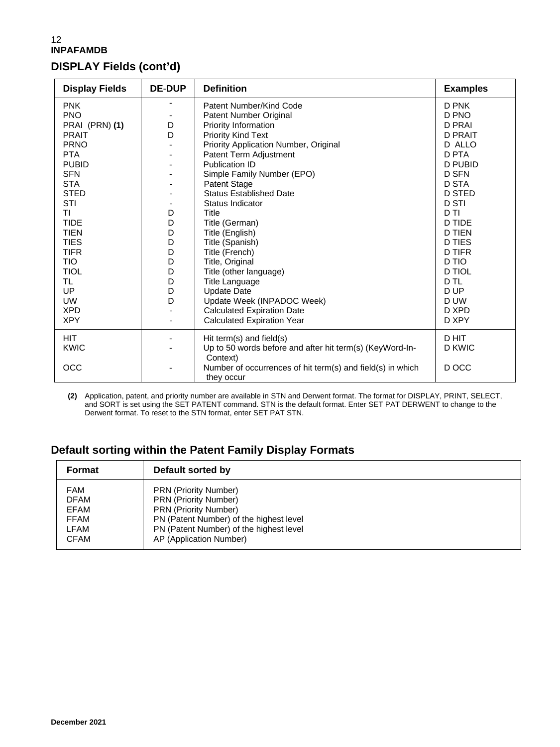## **DISPLAY Fields (cont'd)**

| <b>Display Fields</b> | <b>DE-DUP</b> | <b>Definition</b>                                                        | <b>Examples</b> |
|-----------------------|---------------|--------------------------------------------------------------------------|-----------------|
| <b>PNK</b>            |               | Patent Number/Kind Code                                                  | D PNK           |
| <b>PNO</b>            |               | Patent Number Original                                                   | D PNO           |
| PRAI (PRN) (1)        | D             | Priority Information                                                     | <b>D PRAI</b>   |
| <b>PRAIT</b>          | D             | Priority Kind Text                                                       | <b>D PRAIT</b>  |
| <b>PRNO</b>           |               | Priority Application Number, Original                                    | D ALLO          |
| <b>PTA</b>            |               | Patent Term Adjustment                                                   | <b>D PTA</b>    |
| <b>PUBID</b>          |               | Publication ID                                                           | D PUBID         |
| <b>SFN</b>            |               | Simple Family Number (EPO)                                               | <b>D SFN</b>    |
| <b>STA</b>            |               | Patent Stage                                                             | <b>D STA</b>    |
| <b>STED</b>           |               | <b>Status Established Date</b>                                           | <b>D STED</b>   |
| STI                   |               | Status Indicator                                                         | <b>D STI</b>    |
| ΤI                    | D             | Title                                                                    | D TI            |
| <b>TIDE</b>           | D             | Title (German)                                                           | <b>D TIDE</b>   |
| <b>TIEN</b>           | D             | Title (English)                                                          | <b>D TIEN</b>   |
| <b>TIES</b>           | D             | Title (Spanish)                                                          | <b>D</b> TIES   |
| <b>TIFR</b>           | D             | Title (French)                                                           | <b>D TIFR</b>   |
| <b>TIO</b>            | D             | Title, Original                                                          | D TIO           |
| <b>TIOL</b>           | D             | Title (other language)                                                   | <b>D TIOL</b>   |
| TL                    | D             | <b>Title Language</b>                                                    | D TL            |
| UP                    | D             | <b>Update Date</b>                                                       | D UP            |
| <b>UW</b>             | D             | Update Week (INPADOC Week)                                               | D UW            |
| <b>XPD</b>            |               | <b>Calculated Expiration Date</b>                                        | D XPD           |
| <b>XPY</b>            |               | <b>Calculated Expiration Year</b>                                        | D XPY           |
| <b>HIT</b>            |               | Hit term(s) and field(s)                                                 | D HIT           |
| <b>KWIC</b>           |               | Up to 50 words before and after hit term(s) (KeyWord-In-<br>Context)     | D KWIC          |
| OCC                   |               | Number of occurrences of hit term(s) and field(s) in which<br>they occur | D OCC           |

**(2)** Application, patent, and priority number are available in STN and Derwent format. The format for DISPLAY, PRINT, SELECT, and SORT is set using the SET PATENT command. STN is the default format. Enter SET PAT DERWENT to change to the Derwent format. To reset to the STN format, enter SET PAT STN.

## **Default sorting within the Patent Family Display Formats**

| Format      | Default sorted by                       |
|-------------|-----------------------------------------|
| <b>FAM</b>  | <b>PRN (Priority Number)</b>            |
| <b>DFAM</b> | <b>PRN (Priority Number)</b>            |
| <b>EFAM</b> | <b>PRN (Priority Number)</b>            |
| <b>FFAM</b> | PN (Patent Number) of the highest level |
| LFAM        | PN (Patent Number) of the highest level |
| <b>CFAM</b> | AP (Application Number)                 |
|             |                                         |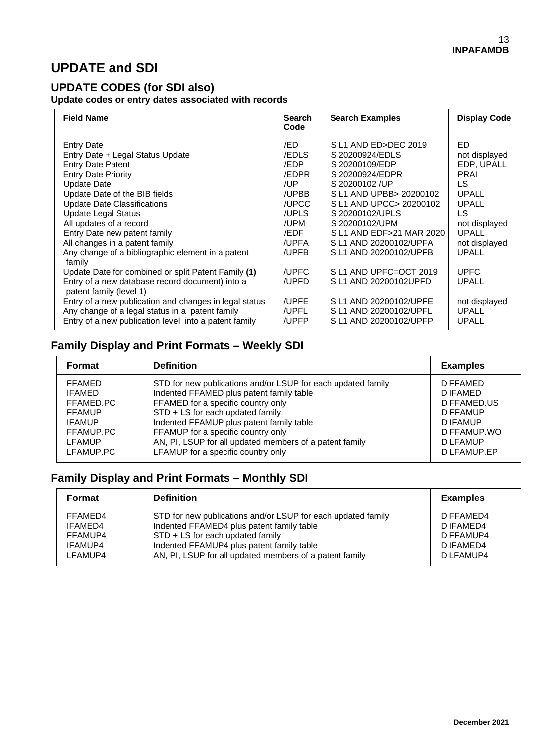## **UPDATE and SDI**

### **UPDATE CODES (for SDI also)**

**Update codes or entry dates associated with records**

| <b>Field Name</b>                                                                                                                                                                                                                                                                                                                                                                               | <b>Search</b><br>Code                                                                                   | <b>Search Examples</b>                                                                                                                                                                                                                                                    | <b>Display Code</b>                                                                                                                                |
|-------------------------------------------------------------------------------------------------------------------------------------------------------------------------------------------------------------------------------------------------------------------------------------------------------------------------------------------------------------------------------------------------|---------------------------------------------------------------------------------------------------------|---------------------------------------------------------------------------------------------------------------------------------------------------------------------------------------------------------------------------------------------------------------------------|----------------------------------------------------------------------------------------------------------------------------------------------------|
| <b>Entry Date</b><br>Entry Date + Legal Status Update<br><b>Entry Date Patent</b><br><b>Entry Date Priority</b><br>Update Date<br>Update Date of the BIB fields<br><b>Update Date Classifications</b><br><b>Update Legal Status</b><br>All updates of a record<br>Entry Date new patent family<br>All changes in a patent family<br>Any change of a bibliographic element in a patent<br>family | /ED<br><b>EDLS</b><br>/EDP<br>/EDPR<br>/UP<br>/UPBB<br>/UPCC<br>/UPLS<br>/UPM<br>/EDF<br>/UPFA<br>/UPFB | S L1 AND ED>DEC 2019<br>S 20200924/EDLS<br>S 20200109/EDP<br>S 20200924/EDPR<br>S 20200102 /UP<br>S L1 AND UPBB> 20200102<br>S L1 AND UPCC> 20200102<br>S 20200102/UPLS<br>S 20200102/UPM<br>S L1 AND EDF>21 MAR 2020<br>S L1 AND 20200102/UPFA<br>S L1 AND 20200102/UPFB | ED<br>not displayed<br>EDP, UPALL<br><b>PRAI</b><br>LS.<br><b>UPALL</b><br>UPALL<br>LS.<br>not displayed<br><b>UPALL</b><br>not displayed<br>UPALL |
| Update Date for combined or split Patent Family (1)<br>Entry of a new database record document) into a<br>patent family (level 1)<br>Entry of a new publication and changes in legal status<br>Any change of a legal status in a patent family<br>Entry of a new publication level into a patent family                                                                                         | /UPFC<br>/UPFD<br>/UPFE<br>/UPFL<br>/UPFP                                                               | SL1 AND UPFC=OCT 2019<br>S L1 AND 20200102UPFD<br>S L1 AND 20200102/UPFE<br>S L1 AND 20200102/UPFL<br>S L1 AND 20200102/UPFP                                                                                                                                              | <b>UPFC</b><br>UPALL<br>not displayed<br><b>UPALL</b><br><b>UPALL</b>                                                                              |

## **Family Display and Print Formats – Weekly SDI**

| Format        | <b>Definition</b>                                            | <b>Examples</b> |
|---------------|--------------------------------------------------------------|-----------------|
| <b>FFAMED</b> | STD for new publications and/or LSUP for each updated family | D FFAMED        |
| <b>IFAMED</b> | Indented FFAMED plus patent family table                     | D IFAMED        |
| FFAMED.PC     | FFAMED for a specific country only                           | D FFAMED.US     |
| <b>FFAMUP</b> | STD + LS for each updated family                             | D FFAMUP        |
| <b>IFAMUP</b> | Indented FFAMUP plus patent family table                     | D IFAMUP        |
| FFAMUP.PC     | FFAMUP for a specific country only                           | D FFAMUP.WO     |
| <b>LFAMUP</b> | AN, PI, LSUP for all updated members of a patent family      | D LFAMUP        |
| LFAMUP.PC     | LFAMUP for a specific country only                           | D LFAMUP.EP     |

## **Family Display and Print Formats – Monthly SDI**

| Format  | <b>Definition</b>                                            | <b>Examples</b> |
|---------|--------------------------------------------------------------|-----------------|
| FFAMED4 | STD for new publications and/or LSUP for each updated family | D FFAMED4       |
| IFAMED4 | Indented FFAMED4 plus patent family table                    | D IFAMED4       |
| FFAMUP4 | STD + LS for each updated family                             | D FFAMUP4       |
| IFAMUP4 | Indented FFAMUP4 plus patent family table                    | D IFAMED4       |
| LFAMUP4 | AN, PI, LSUP for all updated members of a patent family      | D LFAMUP4       |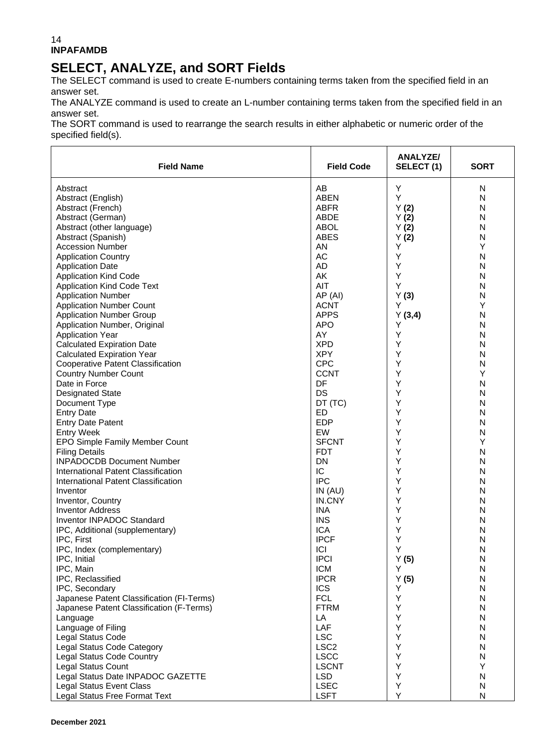# **SELECT, ANALYZE, and SORT Fields**

The SELECT command is used to create E-numbers containing terms taken from the specified field in an answer set.

The ANALYZE command is used to create an L-number containing terms taken from the specified field in an answer set.

The SORT command is used to rearrange the search results in either alphabetic or numeric order of the specified field(s).

| <b>Field Name</b>                         | <b>Field Code</b> | <b>ANALYZE/</b><br>SELECT(1) | <b>SORT</b>  |
|-------------------------------------------|-------------------|------------------------------|--------------|
| Abstract                                  | AB                | Υ                            | N            |
| Abstract (English)                        | <b>ABEN</b>       | Υ                            | N            |
| Abstract (French)                         | <b>ABFR</b>       | Y(2)                         | N            |
| Abstract (German)                         | ABDE              | Y(2)                         | N            |
| Abstract (other language)                 | <b>ABOL</b>       | Y(2)                         | N            |
| Abstract (Spanish)                        | <b>ABES</b>       | Y(2)                         | N            |
| <b>Accession Number</b>                   | AN                | Y                            | Y            |
| <b>Application Country</b>                | AC                | Υ                            | N            |
| <b>Application Date</b>                   | AD                | Υ                            | N            |
| <b>Application Kind Code</b>              | AK                | Υ                            | N            |
| <b>Application Kind Code Text</b>         | AIT               | Y                            | N            |
| <b>Application Number</b>                 | AP (AI)           | Y(3)                         | N            |
| <b>Application Number Count</b>           | <b>ACNT</b>       | Y                            | Y            |
|                                           | <b>APPS</b>       |                              |              |
| <b>Application Number Group</b>           |                   | Y(3,4)<br>Y                  | N            |
| Application Number, Original              | <b>APO</b>        |                              | N            |
| <b>Application Year</b>                   | AY<br><b>XPD</b>  | Υ<br>Y                       | N            |
| <b>Calculated Expiration Date</b>         |                   |                              | N            |
| <b>Calculated Expiration Year</b>         | <b>XPY</b>        | Y                            | N            |
| <b>Cooperative Patent Classification</b>  | <b>CPC</b>        | Y                            | N            |
| <b>Country Number Count</b>               | <b>CCNT</b>       | Y                            | Y            |
| Date in Force                             | DF                | Y                            | N            |
| <b>Designated State</b>                   | DS                | Y                            | N            |
| Document Type                             | DT (TC)           | Υ                            | N            |
| <b>Entry Date</b>                         | ED                | Y                            | N            |
| <b>Entry Date Patent</b>                  | <b>EDP</b>        | Y                            | N            |
| <b>Entry Week</b>                         | <b>EW</b>         | Y                            | N            |
| EPO Simple Family Member Count            | <b>SFCNT</b>      | Υ                            | Y            |
| <b>Filing Details</b>                     | <b>FDT</b>        | Y                            | N            |
| <b>INPADOCDB Document Number</b>          | <b>DN</b>         | Y                            | N            |
| International Patent Classification       | IC                | Y                            | N            |
| International Patent Classification       | <b>IPC</b>        | Y                            | N            |
| Inventor                                  | IN(AU)            | Υ                            | N            |
| Inventor, Country                         | IN.CNY            | Υ                            | N            |
| <b>Inventor Address</b>                   | <b>INA</b>        | Y                            | N            |
| Inventor INPADOC Standard                 | <b>INS</b>        | Υ                            | N            |
| IPC, Additional (supplementary)           | <b>ICA</b>        | Y                            | N            |
| IPC, First                                | <b>IPCF</b>       | Υ                            | N            |
| IPC, Index (complementary)                | ICI               | Y                            | N            |
| IPC, Initial                              | <b>IPCI</b>       | Y(5)                         | N            |
| IPC, Main                                 | <b>ICM</b>        | Υ                            | $\mathsf{N}$ |
| IPC, Reclassified                         | <b>IPCR</b>       | Y(5)                         | N            |
| IPC, Secondary                            | <b>ICS</b>        | Υ                            | N            |
| Japanese Patent Classification (FI-Terms) | <b>FCL</b>        | Υ                            | N            |
| Japanese Patent Classification (F-Terms)  | <b>FTRM</b>       | Υ                            | N            |
| Language                                  | LA                | Υ                            | N            |
| Language of Filing                        | LAF               | Υ                            | N            |
| Legal Status Code                         | <b>LSC</b>        | Υ                            | N            |
| Legal Status Code Category                | LSC <sub>2</sub>  | Y                            | N            |
| Legal Status Code Country                 | <b>LSCC</b>       | Υ                            | N            |
| Legal Status Count                        | <b>LSCNT</b>      | Υ                            | Y            |
| Legal Status Date INPADOC GAZETTE         | <b>LSD</b>        | Υ                            | N            |
| <b>Legal Status Event Class</b>           | <b>LSEC</b>       | Υ                            | N            |
| Legal Status Free Format Text             | <b>LSFT</b>       | Υ                            | N            |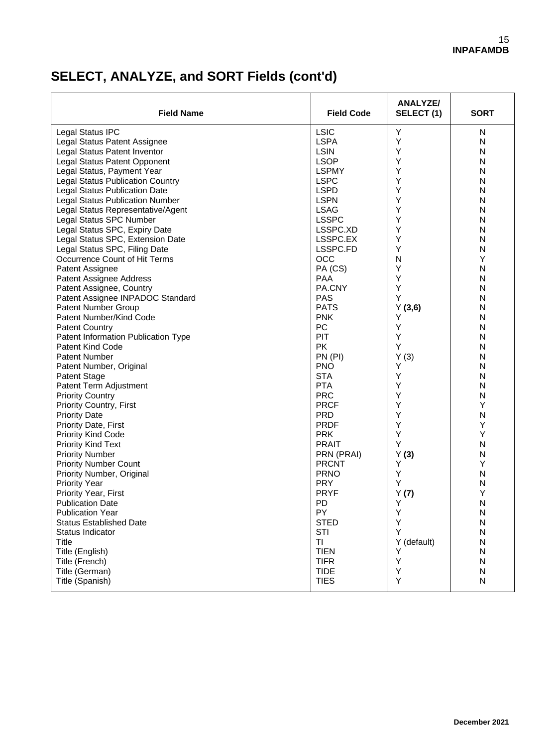# **SELECT, ANALYZE, and SORT Fields (cont'd)**

| <b>Field Name</b>                       | <b>Field Code</b>          | ANALYZE/<br>SELECT(1) | <b>SORT</b> |
|-----------------------------------------|----------------------------|-----------------------|-------------|
| Legal Status IPC                        | <b>LSIC</b>                | Y                     | N           |
| Legal Status Patent Assignee            | <b>LSPA</b>                | Y                     | N           |
| Legal Status Patent Inventor            | <b>LSIN</b>                | Y                     | N           |
| Legal Status Patent Opponent            | <b>LSOP</b>                | Y                     | N           |
| Legal Status, Payment Year              | <b>LSPMY</b>               | Υ                     | N           |
| <b>Legal Status Publication Country</b> | <b>LSPC</b>                | Y                     | N           |
| <b>Legal Status Publication Date</b>    | <b>LSPD</b>                | Υ                     | N           |
| <b>Legal Status Publication Number</b>  | <b>LSPN</b>                | Y                     | N           |
| Legal Status Representative/Agent       | <b>LSAG</b>                | Υ                     | N           |
| Legal Status SPC Number                 | <b>LSSPC</b>               | Y                     | N           |
| Legal Status SPC, Expiry Date           | LSSPC.XD                   | Y                     | N           |
| Legal Status SPC, Extension Date        | LSSPC.EX                   | Y                     | N           |
| Legal Status SPC, Filing Date           | LSSPC.FD                   | Y                     | N           |
| Occurrence Count of Hit Terms           | <b>OCC</b>                 | N                     | Y           |
| Patent Assignee                         | PA (CS)                    | Y                     | N           |
| Patent Assignee Address                 | <b>PAA</b>                 | Υ                     | N           |
| Patent Assignee, Country                | PA.CNY                     | Y                     | N           |
| Patent Assignee INPADOC Standard        | <b>PAS</b>                 | Υ                     | N           |
| <b>Patent Number Group</b>              | <b>PATS</b>                | Y(3,6)                | N           |
| Patent Number/Kind Code                 | <b>PNK</b>                 | Υ                     | N           |
| <b>Patent Country</b>                   | PC                         | Y                     | N           |
| Patent Information Publication Type     | PIT                        | Y                     | N           |
| <b>Patent Kind Code</b>                 | <b>PK</b>                  | Υ                     | N           |
| Patent Number                           | PN (PI)                    | Y(3)                  | N           |
| Patent Number, Original                 | <b>PNO</b>                 | Υ                     | N           |
| <b>Patent Stage</b>                     | <b>STA</b>                 | Y                     | N           |
| Patent Term Adjustment                  | <b>PTA</b>                 | Υ                     | N           |
| <b>Priority Country</b>                 | <b>PRC</b>                 | Y                     | N           |
| <b>Priority Country, First</b>          | <b>PRCF</b>                | Y                     | Υ           |
| <b>Priority Date</b>                    | <b>PRD</b>                 | Y                     | N           |
| Priority Date, First                    | <b>PRDF</b>                | Y                     | Υ           |
| <b>Priority Kind Code</b>               | <b>PRK</b>                 | Y                     | Υ           |
|                                         | <b>PRAIT</b>               | Y                     | N           |
| <b>Priority Kind Text</b>               |                            |                       |             |
| <b>Priority Number</b>                  | PRN (PRAI)<br><b>PRCNT</b> | Y(3)<br>Υ             | N<br>Y      |
| <b>Priority Number Count</b>            |                            | Υ                     | N           |
| Priority Number, Original               | <b>PRNO</b>                | Υ                     | N           |
| <b>Priority Year</b>                    | <b>PRY</b>                 |                       | Υ           |
| Priority Year, First                    | <b>PRYF</b>                | Y(7)                  |             |
| <b>Publication Date</b>                 | <b>PD</b>                  | Υ                     | N           |
| <b>Publication Year</b>                 | PY                         | Υ                     | N           |
| <b>Status Established Date</b>          | <b>STED</b>                | Υ<br>Y                | ${\sf N}$   |
| Status Indicator<br>Title               | STI<br><b>TI</b>           |                       | N           |
|                                         |                            | Y (default)<br>Υ      | N           |
| Title (English)                         | <b>TIEN</b>                | Y                     | N           |
| Title (French)                          | <b>TIFR</b>                |                       | N           |
| Title (German)                          | <b>TIDE</b>                | Υ                     | N           |
| Title (Spanish)                         | <b>TIES</b>                | Υ                     | N           |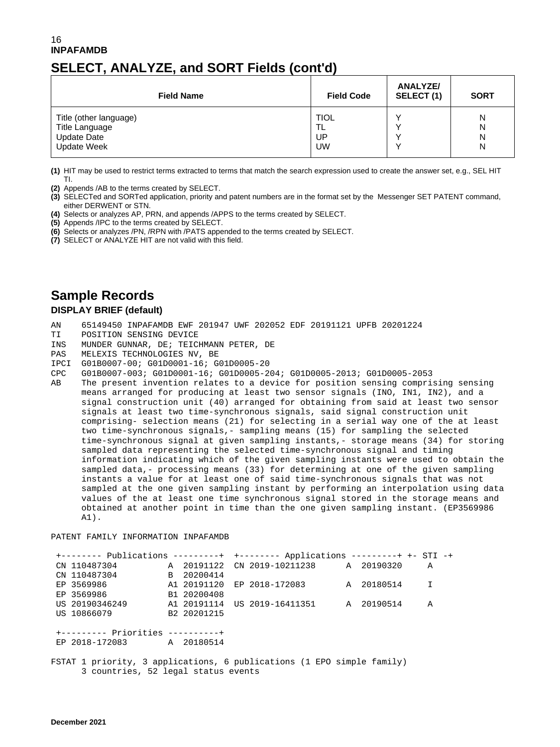## **SELECT, ANALYZE, and SORT Fields (cont'd)**

| <b>Field Name</b>      | <b>Field Code</b> | ANALYZE/<br>SELECT(1) | <b>SORT</b> |
|------------------------|-------------------|-----------------------|-------------|
| Title (other language) | <b>TIOL</b>       |                       | N           |
| Title Language         | TL                |                       | N           |
| <b>Update Date</b>     | UP                |                       | N           |
| <b>Update Week</b>     | <b>UW</b>         |                       | N           |

**(1)** HIT may be used to restrict terms extracted to terms that match the search expression used to create the answer set, e.g., SEL HIT TI.

**(2)** Appends /AB to the terms created by SELECT.

**(3)** SELECTed and SORTed application, priority and patent numbers are in the format set by the Messenger SET PATENT command, either DERWENT or STN.

- **(4)** Selects or analyzes AP, PRN, and appends /APPS to the terms created by SELECT.
- **(5)** Appends /IPC to the terms created by SELECT.

**(6)** Selects or analyzes /PN, /RPN with /PATS appended to the terms created by SELECT.

**(7)** SELECT or ANALYZE HIT are not valid with this field.

## **Sample Records**

#### **DISPLAY BRIEF (default)**

- AN 65149450 INPAFAMDB EWF 201947 UWF 202052 EDF 20191121 UPFB 20201224
- TI POSITION SENSING DEVICE<br>INS MUNDER GUNNAR, DE; TEICI
- INS MUNDER GUNNAR, DE; TEICHMANN PETER, DE
- MELEXIS TECHNOLOGIES NV, BE
- IPCI G01B0007-00; G01D0001-16; G01D0005-20
- CPC G01B0007-003; G01D0001-16; G01D0005-204; G01D0005-2013; G01D0005-2053
- The present invention relates to a device for position sensing comprising sensing means arranged for producing at least two sensor signals (INO, IN1, IN2), and a signal construction unit (40) arranged for obtaining from said at least two sensor signals at least two time-synchronous signals, said signal construction unit comprising- selection means (21) for selecting in a serial way one of the at least two time-synchronous signals,- sampling means (15) for sampling the selected time-synchronous signal at given sampling instants,- storage means (34) for storing sampled data representing the selected time-synchronous signal and timing information indicating which of the given sampling instants were used to obtain the sampled data,- processing means (33) for determining at one of the given sampling instants a value for at least one of said time-synchronous signals that was not sampled at the one given sampling instant by performing an interpolation using data values of the at least one time synchronous signal stored in the storage means and obtained at another point in time than the one given sampling instant. (EP3569986 A1).

PATENT FAMILY INFORMATION INPAFAMDB

| +-------- Publications --------+ +-------- Applications ---------+ +- STI -+ |             |                                                |  |              |  |
|------------------------------------------------------------------------------|-------------|------------------------------------------------|--|--------------|--|
| CN 110487304                                                                 |             | A 20191122 CN 2019-10211238 A 20190320         |  | A            |  |
| CN 110487304                                                                 | B 20200414  |                                                |  |              |  |
| EP 3569986                                                                   |             | A1 20191120 EP 2018-172083 A 20180514          |  | $\mathbf{I}$ |  |
| EP 3569986                                                                   | B1 20200408 |                                                |  |              |  |
| US 20190346249                                                               |             | A1 20191114 US 2019-16411351        A 20190514 |  | A            |  |
| US 10866079                                                                  | B2 20201215 |                                                |  |              |  |
|                                                                              |             |                                                |  |              |  |
| +--------- Priorities ----------+                                            |             |                                                |  |              |  |
| EP 2018-172083 A 20180514                                                    |             |                                                |  |              |  |
|                                                                              |             |                                                |  |              |  |
| FSTAT 1 priority, 3 applications, 6 publications (1 EPO simple family)       |             |                                                |  |              |  |

3 countries, 52 legal status events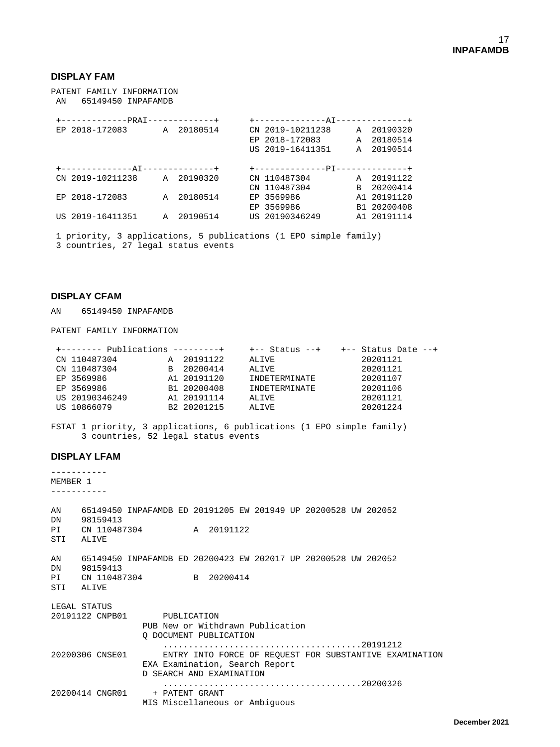#### **DISPLAY FAM**

PATENT FAMILY INFORMATION AN 65149450 INPAFAMDB

|  | +------------PRAI-------------+ |              |            | +-------------AT-------------+   |              |             |
|--|---------------------------------|--------------|------------|----------------------------------|--------------|-------------|
|  | EP 2018-172083                  |              | A 20180514 | CN 2019-10211238                 |              | A 20190320  |
|  |                                 |              |            | EP 2018-172083                   | A            | 20180514    |
|  |                                 |              |            | US 2019-16411351                 |              | A 20190514  |
|  |                                 |              |            |                                  |              |             |
|  | +-------------AT-------------+  |              |            | +--------------PI--------------+ |              |             |
|  | CN 2019-10211238 A 20190320     |              |            | CN 110487304                     |              | A 20191122  |
|  |                                 |              |            | CN 110487304                     | <sub>R</sub> | 20200414    |
|  | EP 2018-172083                  | $\mathbb{A}$ | 20180514   | EP 3569986                       |              | A1 20191120 |
|  |                                 |              |            | EP 3569986                       |              | B1 20200408 |
|  | US 2019-16411351                | A            | 20190514   | US 20190346249                   |              | A1 20191114 |
|  |                                 |              |            |                                  |              |             |

1 priority, 3 applications, 5 publications (1 EPO simple family) 3 countries, 27 legal status events

#### **DISPLAY CFAM**

AN 65149450 INPAFAMDB

PATENT FAMILY INFORMATION

|                |  | +-- Status --+                                                                                                               |          |                       |
|----------------|--|------------------------------------------------------------------------------------------------------------------------------|----------|-----------------------|
| CN 110487304   |  | ALIVE                                                                                                                        | 20201121 |                       |
| CN 110487304   |  | ALIVE                                                                                                                        | 20201121 |                       |
| EP 3569986     |  | INDETERMINATE                                                                                                                | 20201107 |                       |
| EP 3569986     |  | INDETERMINATE                                                                                                                | 20201106 |                       |
| US 20190346249 |  | ALIVE                                                                                                                        | 20201121 |                       |
| US 10866079    |  | ALIVE                                                                                                                        | 20201224 |                       |
|                |  | $+$ -------- Publications ---------+<br>A 20191122<br>B 20200414<br>A1 20191120<br>B1 20200408<br>A1 20191114<br>B2 20201215 |          | $+-$ Status Date $--$ |

FSTAT 1 priority, 3 applications, 6 publications (1 EPO simple family) 3 countries, 52 legal status events

#### **DISPLAY LFAM**

----------- MEMBER 1 ----------- AN 65149450 INPAFAMDB ED 20191205 EW 201949 UP 20200528 UW 202052 DN 98159413<br>PI CN 110487 CN 110487304 A 20191122 STI ALIVE AN 65149450 INPAFAMDB ED 20200423 EW 202017 UP 20200528 UW 202052 DN 98159413<br>PI CN 110487 CN 110487304 B 20200414 STI ALIVE LEGAL STATUS 20191122 CNPB01 PUBLICATION PUB New or Withdrawn Publication Q DOCUMENT PUBLICATION .......................................20191212 ENTRY INTO FORCE OF REQUEST FOR SUBSTANTIVE EXAMINATION EXA Examination, Search Report D SEARCH AND EXAMINATION .......................................20200326 20200414 CNGR01 MIS Miscellaneous or Ambiguous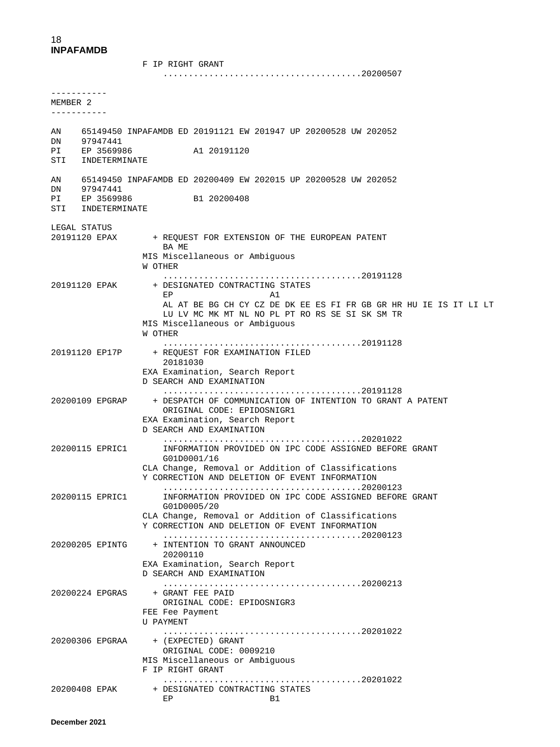F IP RIGHT GRANT .......................................20200507 ----------- MEMBER 2 ----------- AN 65149450 INPAFAMDB ED 20191121 EW 201947 UP 20200528 UW 202052 DN 97947441<br>PI EP 3569986 A1 20191120 STI INDETERMINATE AN 65149450 INPAFAMDB ED 20200409 EW 202015 UP 20200528 UW 202052 DN 97947441<br>PI EP 3569986 B1 20200408 STI INDETERMINATE LEGAL STATUS<br>20191120 EPAX + REOUEST FOR EXTENSION OF THE EUROPEAN PATENT BA ME MIS Miscellaneous or Ambiguous W OTHER .......................................20191128 20191120 EPAK + DESIGNATED CONTRACTING STATES explored the EP and the California and the California and the California and the California and the California AL AT BE BG CH CY CZ DE DK EE ES FI FR GB GR HR HU IE IS IT LI LT LU LV MC MK MT NL NO PL PT RO RS SE SI SK SM TR MIS Miscellaneous or Ambiguous W OTHER .......................................20191128 + REQUEST FOR EXAMINATION FILED 20181030 EXA Examination, Search Report D SEARCH AND EXAMINATION .......................................20191128 20200109 EPGRAP + DESPATCH OF COMMUNICATION OF INTENTION TO GRANT A PATENT ORIGINAL CODE: EPIDOSNIGR1 EXA Examination, Search Report D SEARCH AND EXAMINATION .......................................20201022 INFORMATION PROVIDED ON IPC CODE ASSIGNED BEFORE GRANT G01D0001/16 CLA Change, Removal or Addition of Classifications Y CORRECTION AND DELETION OF EVENT INFORMATION .......................................20200123 INFORMATION PROVIDED ON IPC CODE ASSIGNED BEFORE GRANT G01D0005/20 CLA Change, Removal or Addition of Classifications Y CORRECTION AND DELETION OF EVENT INFORMATION .......................................20200123 + INTENTION TO GRANT ANNOUNCED 20200110 EXA Examination, Search Report D SEARCH AND EXAMINATION .......................................20200213 + GRANT FEE PAID ORIGINAL CODE: EPIDOSNIGR3 FEE Fee Payment U PAYMENT .......................................20201022 + (EXPECTED) GRANT ORIGINAL CODE: 0009210 MIS Miscellaneous or Ambiguous F IP RIGHT GRANT .......................................20201022 20200408 EPAK + DESIGNATED CONTRACTING STATES

en de la provincia de la provincia de la provincia de la provincia de la provincia de la provincia de la provi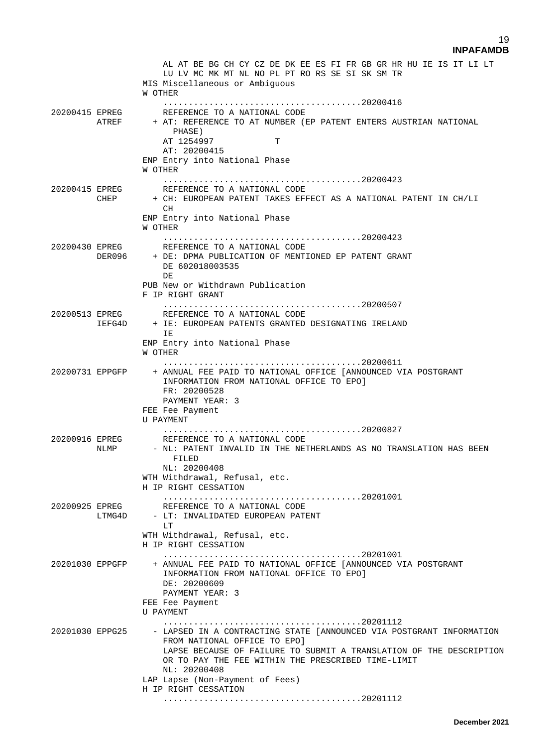|                 |                          | AL AT BE BG CH CY CZ DE DK EE ES FI FR GB GR HR HU IE IS IT LI LT<br>LU LV MC MK MT NL NO PL PT RO RS SE SI SK SM TR<br>MIS Miscellaneous or Ambiquous<br>W OTHER                                                                                                                                            |
|-----------------|--------------------------|--------------------------------------------------------------------------------------------------------------------------------------------------------------------------------------------------------------------------------------------------------------------------------------------------------------|
| 20200415 EPREG  | ATREF                    | REFERENCE TO A NATIONAL CODE<br>+ AT: REFERENCE TO AT NUMBER (EP PATENT ENTERS AUSTRIAN NATIONAL<br>PHASE)<br>AT 1254997<br>т<br>AT: 20200415<br>ENP Entry into National Phase<br>W OTHER                                                                                                                    |
| 20200415 EPREG  | CHEP                     | REFERENCE TO A NATIONAL CODE<br>+ CH: EUROPEAN PATENT TAKES EFFECT AS A NATIONAL PATENT IN CH/LI<br>CH.                                                                                                                                                                                                      |
|                 |                          | ENP Entry into National Phase<br>W OTHER                                                                                                                                                                                                                                                                     |
| 20200430 EPREG  | DER096                   | .<br>REFERENCE TO A NATIONAL CODE<br>+ DE: DPMA PUBLICATION OF MENTIONED EP PATENT GRANT<br>DE 602018003535<br>DE                                                                                                                                                                                            |
|                 |                          | PUB New or Withdrawn Publication<br>F IP RIGHT GRANT                                                                                                                                                                                                                                                         |
| 20200513 EPREG  | IEFG4D                   | REFERENCE TO A NATIONAL CODE<br>+ IE: EUROPEAN PATENTS GRANTED DESIGNATING IRELAND<br>IE                                                                                                                                                                                                                     |
|                 |                          | ENP Entry into National Phase<br>W OTHER                                                                                                                                                                                                                                                                     |
| 20200731 EPPGFP |                          | + ANNUAL FEE PAID TO NATIONAL OFFICE [ANNOUNCED VIA POSTGRANT<br>INFORMATION FROM NATIONAL OFFICE TO EPO]<br>FR: 20200528<br>PAYMENT YEAR: 3<br>FEE Fee Payment<br>U PAYMENT                                                                                                                                 |
| 20200916 EPREG  |                          | REFERENCE TO A NATIONAL CODE<br>NLMP - NL: PATENT INVALID IN THE NETHERLANDS AS NO TRANSLATION HAS BEEN<br>FILED<br>NL: 20200408<br>WTH Withdrawal, Refusal, etc.<br>H IP RIGHT CESSATION                                                                                                                    |
|                 | 20200925 EPREG<br>LTMG4D | REFERENCE TO A NATIONAL CODE<br>- LT: INVALIDATED EUROPEAN PATENT<br>LT.<br>WTH Withdrawal, Refusal, etc.                                                                                                                                                                                                    |
|                 |                          | H IP RIGHT CESSATION                                                                                                                                                                                                                                                                                         |
| 20201030 EPPGFP |                          | + ANNUAL FEE PAID TO NATIONAL OFFICE [ANNOUNCED VIA POSTGRANT<br>INFORMATION FROM NATIONAL OFFICE TO EPO]<br>DE: 20200609<br>PAYMENT YEAR: 3<br>FEE Fee Payment<br>U PAYMENT                                                                                                                                 |
| 20201030 EPPG25 |                          | - LAPSED IN A CONTRACTING STATE [ANNOUNCED VIA POSTGRANT INFORMATION<br>FROM NATIONAL OFFICE TO EPO]<br>LAPSE BECAUSE OF FAILURE TO SUBMIT A TRANSLATION OF THE DESCRIPTION<br>OR TO PAY THE FEE WITHIN THE PRESCRIBED TIME-LIMIT<br>NL: 20200408<br>LAP Lapse (Non-Payment of Fees)<br>H IP RIGHT CESSATION |
|                 |                          |                                                                                                                                                                                                                                                                                                              |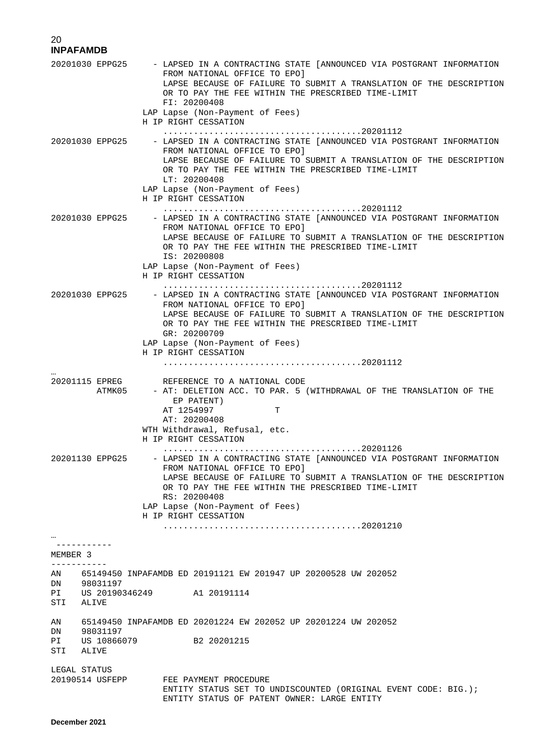|                 | 20201030 EPPG25          | - LAPSED IN A CONTRACTING STATE [ANNOUNCED VIA POSTGRANT INFORMATION<br>FROM NATIONAL OFFICE TO EPO]<br>LAPSE BECAUSE OF FAILURE TO SUBMIT A TRANSLATION OF THE DESCRIPTION<br>OR TO PAY THE FEE WITHIN THE PRESCRIBED TIME-LIMIT<br>FI: 20200408<br>LAP Lapse (Non-Payment of Fees)<br>H IP RIGHT CESSATION |
|-----------------|--------------------------|--------------------------------------------------------------------------------------------------------------------------------------------------------------------------------------------------------------------------------------------------------------------------------------------------------------|
|                 | 20201030 EPPG25          | - LAPSED IN A CONTRACTING STATE [ANNOUNCED VIA POSTGRANT INFORMATION<br>FROM NATIONAL OFFICE TO EPO]<br>LAPSE BECAUSE OF FAILURE TO SUBMIT A TRANSLATION OF THE DESCRIPTION<br>OR TO PAY THE FEE WITHIN THE PRESCRIBED TIME-LIMIT<br>LT: 20200408<br>LAP Lapse (Non-Payment of Fees)<br>H IP RIGHT CESSATION |
|                 | 20201030 EPPG25          | - LAPSED IN A CONTRACTING STATE [ANNOUNCED VIA POSTGRANT INFORMATION<br>FROM NATIONAL OFFICE TO EPO]<br>LAPSE BECAUSE OF FAILURE TO SUBMIT A TRANSLATION OF THE DESCRIPTION<br>OR TO PAY THE FEE WITHIN THE PRESCRIBED TIME-LIMIT<br>IS: 20200808<br>LAP Lapse (Non-Payment of Fees)<br>H IP RIGHT CESSATION |
|                 | 20201030 EPPG25          | - LAPSED IN A CONTRACTING STATE [ANNOUNCED VIA POSTGRANT INFORMATION<br>FROM NATIONAL OFFICE TO EPO]<br>LAPSE BECAUSE OF FAILURE TO SUBMIT A TRANSLATION OF THE DESCRIPTION<br>OR TO PAY THE FEE WITHIN THE PRESCRIBED TIME-LIMIT<br>GR: 20200709<br>LAP Lapse (Non-Payment of Fees)<br>H IP RIGHT CESSATION |
|                 | 20201115 EPREG<br>ATMK05 | REFERENCE TO A NATIONAL CODE<br>- AT: DELETION ACC. TO PAR. 5 (WITHDRAWAL OF THE TRANSLATION OF THE<br>EP PATENT)<br>AT 1254997<br>т<br>AT: 20200408<br>WTH Withdrawal, Refusal, etc.<br>H IP RIGHT CESSATION                                                                                                |
|                 | 20201130 EPPG25          | - LAPSED IN A CONTRACTING STATE [ANNOUNCED VIA POSTGRANT INFORMATION<br>FROM NATIONAL OFFICE TO EPO]<br>LAPSE BECAUSE OF FAILURE TO SUBMIT A TRANSLATION OF THE DESCRIPTION<br>OR TO PAY THE FEE WITHIN THE PRESCRIBED TIME-LIMIT<br>RS: 20200408<br>LAP Lapse (Non-Payment of Fees)<br>H IP RIGHT CESSATION |
| MEMBER 3        |                          |                                                                                                                                                                                                                                                                                                              |
|                 |                          | AN 65149450 INPAFAMDB ED 20191121 EW 201947 UP 20200528 UW 202052                                                                                                                                                                                                                                            |
| STI             | DN 98031197<br>ALIVE     | PI US 20190346249 A1 20191114                                                                                                                                                                                                                                                                                |
| AN<br>DN<br>STI | 98031197<br>ALIVE        | 65149450 INPAFAMDB ED 20201224 EW 202052 UP 20201224 UW 202052<br>PI US 10866079 B2 20201215                                                                                                                                                                                                                 |
|                 | LEGAL STATUS             | 20190514 USFEPP FEE PAYMENT PROCEDURE<br>ENTITY STATUS SET TO UNDISCOUNTED (ORIGINAL EVENT CODE: BIG.);<br>ENTITY STATUS OF PATENT OWNER: LARGE ENTITY                                                                                                                                                       |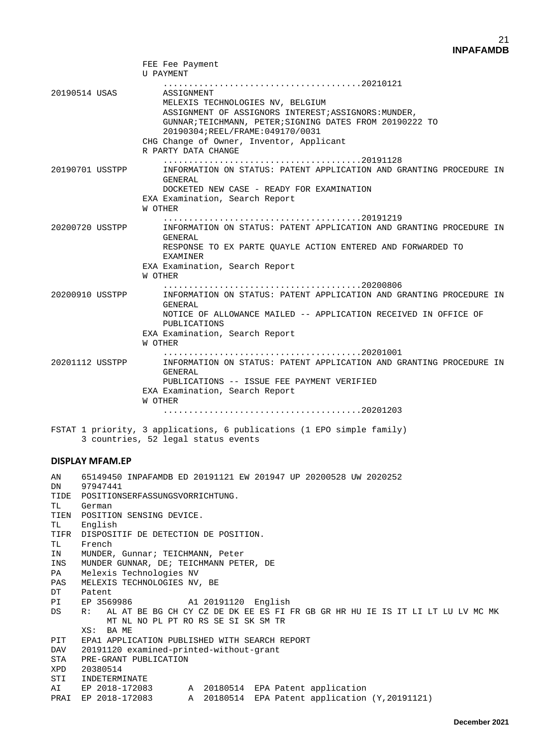|                        | FEE Fee Payment<br>U PAYMENT                                                                                                                                                                                                                                             |
|------------------------|--------------------------------------------------------------------------------------------------------------------------------------------------------------------------------------------------------------------------------------------------------------------------|
| 20190514 USAS          | ASSIGNMENT<br>MELEXIS TECHNOLOGIES NV, BELGIUM<br>ASSIGNMENT OF ASSIGNORS INTEREST; ASSIGNORS: MUNDER,<br>GUNNAR;TEICHMANN, PETER;SIGNING DATES FROM 20190222 TO<br>20190304; REEL/FRAME: 049170/0031<br>CHG Change of Owner, Inventor, Applicant<br>R PARTY DATA CHANGE |
| 20190701 USSTPP        | INFORMATION ON STATUS: PATENT APPLICATION AND GRANTING PROCEDURE IN<br>GENERAL<br>DOCKETED NEW CASE - READY FOR EXAMINATION<br>EXA Examination, Search Report<br>W OTHER                                                                                                 |
| 20200720 USSTPP        | INFORMATION ON STATUS: PATENT APPLICATION AND GRANTING PROCEDURE IN<br>GENERAL<br>RESPONSE TO EX PARTE OUAYLE ACTION ENTERED AND FORWARDED TO<br>EXAMINER<br>EXA Examination, Search Report<br>W OTHER                                                                   |
| 20200910 USSTPP        | INFORMATION ON STATUS: PATENT APPLICATION AND GRANTING PROCEDURE IN<br><b>GENERAL</b><br>NOTICE OF ALLOWANCE MAILED -- APPLICATION RECEIVED IN OFFICE OF<br>PUBLICATIONS<br>EXA Examination, Search Report<br>W OTHER                                                    |
| 20201112 USSTPP        | INFORMATION ON STATUS: PATENT APPLICATION AND GRANTING PROCEDURE IN<br><b>GENERAL</b><br>PUBLICATIONS -- ISSUE FEE PAYMENT VERIFIED<br>EXA Examination, Search Report<br>W OTHER                                                                                         |
|                        | FSTAT 1 priority, 3 applications, 6 publications (1 EPO simple family)<br>3 countries, 52 legal status events                                                                                                                                                            |
| <b>DISPLAY MFAM.EP</b> |                                                                                                                                                                                                                                                                          |

AN 65149450 INPAFAMDB ED 20191121 EW 201947 UP 20200528 UW 2020252 97947441 TIDE POSITIONSERFASSUNGSVORRICHTUNG.<br>TL German German TIEN POSITION SENSING DEVICE.<br>TL English English TIFR DISPOSITIF DE DETECTION DE POSITION.<br>TL French TL French<br>IN MUNDER MUNDER, Gunnar; TEICHMANN, Peter INS MUNDER GUNNAR, DE; TEICHMANN PETER, DE PA Melexis Technologies NV<br>PAS MELEXIS TECHNOLOGIES NV PAS MELEXIS TECHNOLOGIES NV, BE<br>DT Patent DT Patent<br>PI EP 3569986 PI EP 3569986 A1 20191120 English<br>DS R: ALAT BE BG CH CY CZ DE DK EE ES FI DS R: AL AT BE BG CH CY CZ DE DK EE ES FI FR GB GR HR HU IE IS IT LI LT LU LV MC MK MT NL NO PL PT RO RS SE SI SK SM TR XS: BA ME<br>PIT EPA1 APPLIQ PIT EPA1 APPLICATION PUBLISHED WITH SEARCH REPORT<br>DAV 20191120 examined-printed-without-grant DAV 20191120 examined-printed-without-grant<br>STA PRE-GRANT PUBLICATION STA PRE-GRANT PUBLICATION<br>XPD 20380514 20380514 STI INDETERMINATE AI EP 2018-172083 A 20180514 EPA Patent application PRAI EP 2018-172083 A 20180514 EPA Patent application (Y,20191121)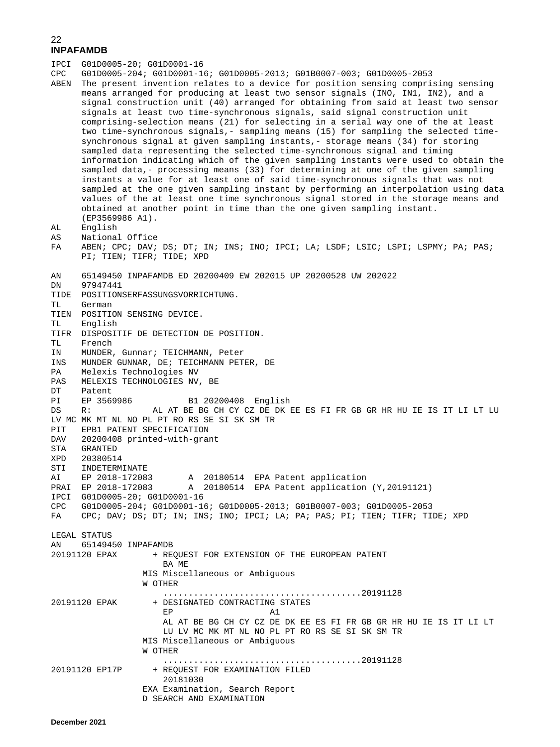| IPCI       | G01D0005-20; G01D0001-16           |                                                                                     |
|------------|------------------------------------|-------------------------------------------------------------------------------------|
| CPC        |                                    | G01D0005-204; G01D0001-16; G01D0005-2013; G01B0007-003; G01D0005-2053               |
| ABEN       |                                    | The present invention relates to a device for position sensing comprising sensing   |
|            |                                    | means arranged for producing at least two sensor signals (INO, IN1, IN2), and a     |
|            |                                    | signal construction unit (40) arranged for obtaining from said at least two sensor  |
|            |                                    | signals at least two time-synchronous signals, said signal construction unit        |
|            |                                    | comprising-selection means (21) for selecting in a serial way one of the at least   |
|            |                                    | two time-synchronous signals,- sampling means (15) for sampling the selected time-  |
|            |                                    | synchronous signal at given sampling instants,- storage means (34) for storing      |
|            |                                    | sampled data representing the selected time-synchronous signal and timing           |
|            |                                    | information indicating which of the given sampling instants were used to obtain the |
|            |                                    | sampled data, - processing means (33) for determining at one of the given sampling  |
|            |                                    | instants a value for at least one of said time-synchronous signals that was not     |
|            |                                    |                                                                                     |
|            |                                    | sampled at the one given sampling instant by performing an interpolation using data |
|            |                                    | values of the at least one time synchronous signal stored in the storage means and  |
|            |                                    | obtained at another point in time than the one given sampling instant.              |
|            | $(EP3569986 A1)$ .                 |                                                                                     |
| AL         | English                            |                                                                                     |
| AS         | National Office                    |                                                                                     |
| FA         |                                    | ABEN; CPC; DAV; DS; DT; IN; INS; INO; IPCI; LA; LSDF; LSIC; LSPI; LSPMY; PA; PAS;   |
|            |                                    | PI; TIEN; TIFR; TIDE; XPD                                                           |
|            |                                    |                                                                                     |
| AΝ         |                                    | 65149450 INPAFAMDB ED 20200409 EW 202015 UP 20200528 UW 202022                      |
| DN<br>TIDE | 97947441                           | POSITIONSERFASSUNGSVORRICHTUNG.                                                     |
| TL.        | German                             |                                                                                     |
| TIEN       | POSITION SENSING DEVICE.           |                                                                                     |
| TL         | English                            |                                                                                     |
| TIFR       |                                    | DISPOSITIF DE DETECTION DE POSITION.                                                |
| TL         | French                             |                                                                                     |
| ΙN         |                                    | MUNDER, Gunnar; TEICHMANN, Peter                                                    |
| INS        |                                    | MUNDER GUNNAR, DE; TEICHMANN PETER, DE                                              |
| PA         | Melexis Technologies NV            |                                                                                     |
| PAS        |                                    | MELEXIS TECHNOLOGIES NV, BE                                                         |
| DT         | Patent                             |                                                                                     |
| РI         | EP 3569986                         | B1 20200408 English                                                                 |
| DS         | R:                                 | AL AT BE BG CH CY CZ DE DK EE ES FI FR GB GR HR HU IE IS IT LI LT LU                |
|            |                                    | LV MC MK MT NL NO PL PT RO RS SE SI SK SM TR                                        |
| PIT        |                                    | EPB1 PATENT SPECIFICATION                                                           |
| DAV        |                                    | 20200408 printed-with-grant                                                         |
| STA        | <b>GRANTED</b>                     |                                                                                     |
| XPD        | 20380514                           |                                                                                     |
| STI        | INDETERMINATE                      |                                                                                     |
| ΑI         | EP 2018-172083                     | 20180514 EPA Patent application<br>Α                                                |
| PRAI       |                                    | EP 2018-172083 A 20180514 EPA Patent application (Y, 20191121)                      |
|            | IPCI G01D0005-20; G01D0001-16      |                                                                                     |
| CPC        |                                    | G01D0005-204; G01D0001-16; G01D0005-2013; G01B0007-003; G01D0005-2053               |
| FA         |                                    | CPC; DAV; DS; DT; IN; INS; INO; IPCI; LA; PA; PAS; PI; TIEN; TIFR; TIDE; XPD        |
|            |                                    |                                                                                     |
|            | LEGAL STATUS<br>65149450 INPAFAMDB |                                                                                     |
| AN         | 20191120 EPAX                      |                                                                                     |
|            |                                    | + REQUEST FOR EXTENSION OF THE EUROPEAN PATENT<br>BA ME                             |
|            |                                    | MIS Miscellaneous or Ambiquous                                                      |
|            |                                    | W OTHER                                                                             |
|            |                                    |                                                                                     |
|            | 20191120 EPAK                      | + DESIGNATED CONTRACTING STATES                                                     |
|            |                                    | EP<br>A1                                                                            |
|            |                                    | AL AT BE BG CH CY CZ DE DK EE ES FI FR GB GR HR HU IE IS IT LI LT                   |
|            |                                    | LU LV MC MK MT NL NO PL PT RO RS SE SI SK SM TR                                     |
|            |                                    | MIS Miscellaneous or Ambiguous                                                      |
|            |                                    | W OTHER                                                                             |
|            |                                    |                                                                                     |
|            | 20191120 EP17P                     | + REQUEST FOR EXAMINATION FILED                                                     |
|            |                                    | 20181030                                                                            |
|            |                                    | EXA Examination, Search Report                                                      |
|            |                                    | D SEARCH AND EXAMINATION                                                            |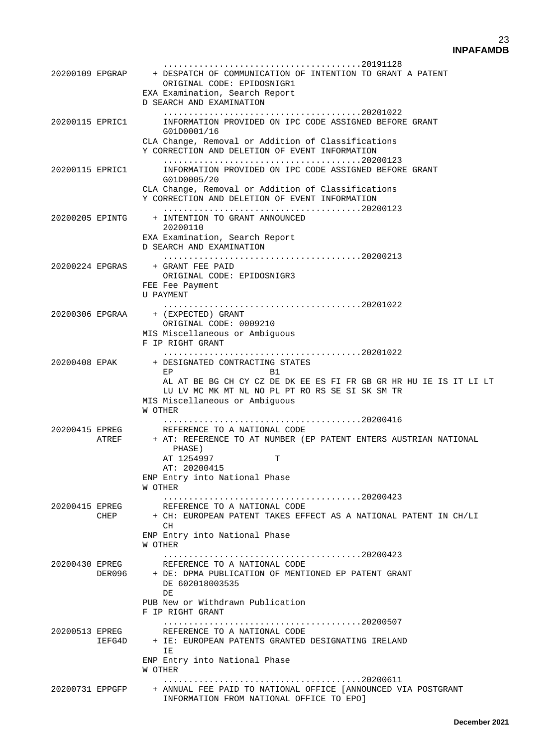|                 | 20200109 EPGRAP        | + DESPATCH OF COMMUNICATION OF INTENTION TO GRANT A PATENT<br>ORIGINAL CODE: EPIDOSNIGR1<br>EXA Examination, Search Report<br>D SEARCH AND EXAMINATION                                                                  |
|-----------------|------------------------|-------------------------------------------------------------------------------------------------------------------------------------------------------------------------------------------------------------------------|
| 20200115 EPRIC1 |                        | INFORMATION PROVIDED ON IPC CODE ASSIGNED BEFORE GRANT<br>G01D0001/16<br>CLA Change, Removal or Addition of Classifications<br>Y CORRECTION AND DELETION OF EVENT INFORMATION                                           |
| 20200115 EPRIC1 |                        | INFORMATION PROVIDED ON IPC CODE ASSIGNED BEFORE GRANT<br>G01D0005/20<br>CLA Change, Removal or Addition of Classifications<br>Y CORRECTION AND DELETION OF EVENT INFORMATION                                           |
| 20200205 EPINTG |                        | + INTENTION TO GRANT ANNOUNCED<br>20200110<br>EXA Examination, Search Report<br>D SEARCH AND EXAMINATION                                                                                                                |
| 20200224 EPGRAS |                        | + GRANT FEE PAID<br>ORIGINAL CODE: EPIDOSNIGR3<br>FEE Fee Payment<br>U PAYMENT                                                                                                                                          |
|                 |                        | 20200306 EPGRAA + (EXPECTED) GRANT<br>ORIGINAL CODE: 0009210<br>MIS Miscellaneous or Ambiquous<br>F IP RIGHT GRANT                                                                                                      |
| 20200408 EPAK   |                        | + DESIGNATED CONTRACTING STATES<br>EP<br><b>B1</b><br>AL AT BE BG CH CY CZ DE DK EE ES FI FR GB GR HR HU IE IS IT LI LT<br>LU LV MC MK MT NL NO PL PT RO RS SE SI SK SM TR<br>MIS Miscellaneous or Ambiguous<br>W OTHER |
| 20200415 EPREG  | ATREF                  | REFERENCE TO A NATIONAL CODE<br>+ AT: REFERENCE TO AT NUMBER (EP PATENT ENTERS AUSTRIAN NATIONAL<br>PHASE)<br>AT 1254997<br>т<br>AT: 20200415<br>ENP Entry into National Phase<br>M OTHEK                               |
|                 | 20200415 EPREG<br>CHEP | REFERENCE TO A NATIONAL CODE<br>+ CH: EUROPEAN PATENT TAKES EFFECT AS A NATIONAL PATENT IN CH/LI<br>CH<br>ENP Entry into National Phase<br>W OTHER                                                                      |
|                 | 20200430 EPREG         | REFERENCE TO A NATIONAL CODE<br>DER096 + DE: DPMA PUBLICATION OF MENTIONED EP PATENT GRANT<br>DE 602018003535<br>DE<br>PUB New or Withdrawn Publication<br>F IP RIGHT GRANT                                             |
| 20200513 EPREG  |                        | REFERENCE TO A NATIONAL CODE<br>IEFG4D + IE: EUROPEAN PATENTS GRANTED DESIGNATING IRELAND<br>ΙE.<br>ENP Entry into National Phase                                                                                       |
|                 |                        | W OTHER<br>20200731 EPPGFP + ANNUAL FEE PAID TO NATIONAL OFFICE [ANNOUNCED VIA POSTGRANT<br>INFORMATION FROM NATIONAL OFFICE TO EPO]                                                                                    |